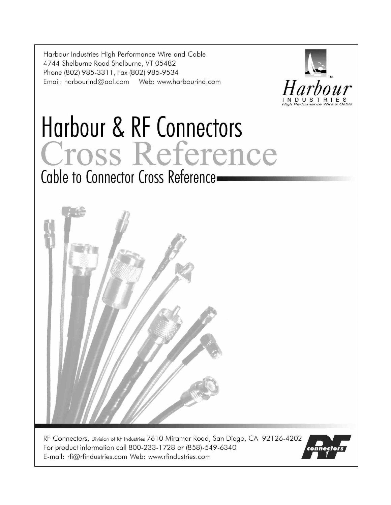Harbour Industries High Performance Wire and Cable 4744 Shelburne Road Shelburne, VT 05482 Phone (802) 985-3311, Fax (802) 985-9534 



# Harbour & RF Connectors Cross Reference Cable to Connector Cross Reference



RF Connectors, Division of RF Industries 7610 Miramar Road, San Diego, CA 92126-4202 For product information call 800-233-1728 or (858)-549-6340 E-mail: rfi@rfindustries.com Web: www.rfindustries.com

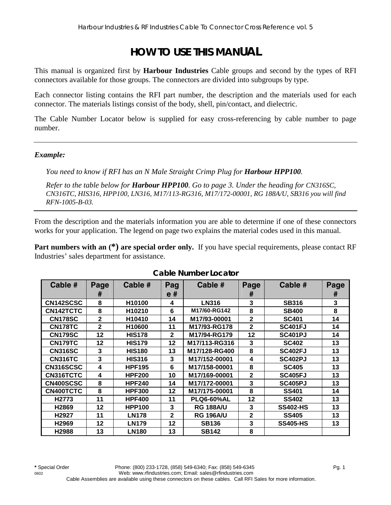## **HOW TO USE THIS MANUAL**

This manual is organized first by **Harbour Industries** Cable groups and second by the types of RFI connectors available for those groups. The connectors are divided into subgroups by type.

Each connector listing contains the RFI part number, the description and the materials used for each connector. The materials listings consist of the body, shell, pin/contact, and dielectric.

The Cable Number Locator below is supplied for easy cross-referencing by cable number to page number.

#### *Example:*

*You need to know if RFI has an N Male Straight Crimp Plug for <i>Harbour HPP100*.

*Refer to the table below for Harbour HPP100. Go to page 3. Under the heading for CN316SC, CN316TC, HIS316, HPP100, LN316, M17/113-RG316, M17/172-00001, RG 188A/U, SB316 you will find RFN-1005-B-03.* 

From the description and the materials information you are able to determine if one of these connectors works for your application. The legend on page two explains the material codes used in this manual.

**Part numbers with an (\*) are special order only.** If you have special requirements, please contact RF Industries' sales department for assistance.

| Cable #           | Page         | Cable #       | Pag          | Cable #           | Page           | Cable #         | Page |
|-------------------|--------------|---------------|--------------|-------------------|----------------|-----------------|------|
|                   | #            |               | e#           |                   | #              |                 | #    |
| CN142SCSC         | 8            | H10100        | 4            | <b>LN316</b>      | 3              | <b>SB316</b>    | 3    |
| CN142TCTC         | 8            | H10210        | 6            | M17/60-RG142      | 8              | <b>SB400</b>    | 8    |
| <b>CN178SC</b>    | $\mathbf{2}$ | H10410        | 14           | M17/93-00001      | $\overline{2}$ | <b>SC401</b>    | 14   |
| <b>CN178TC</b>    | $\mathbf{2}$ | H10600        | 11           | M17/93-RG178      | $\mathbf{2}$   | <b>SC401FJ</b>  | 14   |
| <b>CN179SC</b>    | 12           | <b>HIS178</b> | $\mathbf{2}$ | M17/94-RG179      | 12             | <b>SC401PJ</b>  | 14   |
| <b>CN179TC</b>    | 12           | <b>HIS179</b> | 12           | M17/113-RG316     | 3              | <b>SC402</b>    | 13   |
| <b>CN316SC</b>    | 3            | <b>HIS180</b> | 13           | M17/128-RG400     | 8              | <b>SC402FJ</b>  | 13   |
| <b>CN316TC</b>    | 3            | <b>HIS316</b> | 3            | M17/152-00001     | 4              | <b>SC402PJ</b>  | 13   |
| CN316SCSC         | 4            | <b>HPF195</b> | 6            | M17/158-00001     | 8              | <b>SC405</b>    | 13   |
| CN316TCTC         | 4            | <b>HPF200</b> | 10           | M17/169-00001     | $\mathbf{2}$   | <b>SC405FJ</b>  | 13   |
| CN400SCSC         | 8            | <b>HPF240</b> | 14           | M17/172-00001     | 3              | <b>SC405PJ</b>  | 13   |
| CN400TCTC         | 8            | <b>HPF300</b> | 12           | M17/175-00001     | 8              | <b>SS401</b>    | 14   |
| H <sub>2773</sub> | 11           | <b>HPF400</b> | 11           | <b>PLQ6-60%AL</b> | 12             | <b>SS402</b>    | 13   |
| H2869             | 12           | <b>HPP100</b> | 3            | <b>RG 188A/U</b>  | 3              | <b>SS402-HS</b> | 13   |
| H <sub>2927</sub> | 11           | <b>LN178</b>  | $\mathbf{2}$ | <b>RG 196A/U</b>  | $\mathbf{2}$   | <b>SS405</b>    | 13   |
| H <sub>2969</sub> | 12           | <b>LN179</b>  | 12           | <b>SB136</b>      | 3              | <b>SS405-HS</b> | 13   |
| H2988             | 13           | <b>LN180</b>  | 13           | <b>SB142</b>      | 8              |                 |      |

#### **Cable Number Locator**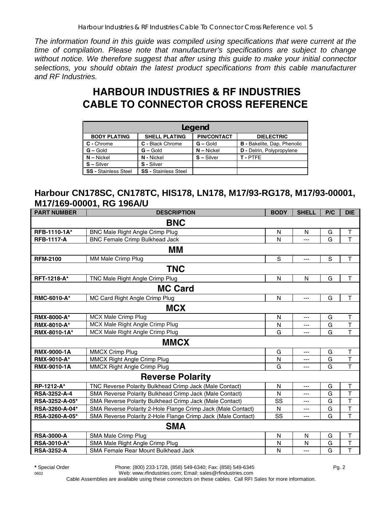*The information found in this guide was compiled using specifications that were current at the time of compilation. Please note that manufacturer's specifications are subject to change without notice. We therefore suggest that after using this guide to make your initial connector selections, you should obtain the latest product specifications from this cable manufacturer and RF Industries.* 

# **HARBOUR INDUSTRIES & RF INDUSTRIES CABLE TO CONNECTOR CROSS REFERENCE**

| Legend                      |                             |                    |                                    |  |  |  |  |  |
|-----------------------------|-----------------------------|--------------------|------------------------------------|--|--|--|--|--|
| <b>BODY PLATING</b>         | <b>SHELL PLATING</b>        | <b>PIN/CONTACT</b> | <b>DIELECTRIC</b>                  |  |  |  |  |  |
| C - Chrome                  | C - Black Chrome            | $G -$ Gold         | <b>B</b> - Bakelite, Dap, Phenolic |  |  |  |  |  |
| $G - Gold$                  | $G - Gold$                  | $N -$ Nickel       | <b>D</b> - Delrin, Polypropylene   |  |  |  |  |  |
| $N - Nickel$                | N - Nickel                  | $S - Silver$       | T-PTFE                             |  |  |  |  |  |
| $S - Silver$                | S - Silver                  |                    |                                    |  |  |  |  |  |
| <b>SS - Stainless Steel</b> | <b>SS - Stainless Steel</b> |                    |                                    |  |  |  |  |  |

#### **Harbour CN178SC, CN178TC, HIS178, LN178, M17/93-RG178, M17/93-00001, M17/169-00001, RG 196A/U**

| <b>PART NUMBER</b>  | <b>DESCRIPTION</b>                                           | <b>BODY</b> | <b>SHELL</b> | P/C         | <b>DIE</b>              |  |  |  |  |
|---------------------|--------------------------------------------------------------|-------------|--------------|-------------|-------------------------|--|--|--|--|
|                     | <b>BNC</b>                                                   |             |              |             |                         |  |  |  |  |
| RFB-1110-1A*        | <b>BNC Male Right Angle Crimp Plug</b>                       | N           | N            | G           | $\top$                  |  |  |  |  |
| <b>RFB-1117-A</b>   | <b>BNC Female Crimp Bulkhead Jack</b>                        | N           |              | G           | $\overline{\mathsf{T}}$ |  |  |  |  |
|                     | MМ                                                           |             |              |             |                         |  |  |  |  |
| <b>RFM-2100</b>     | MM Male Crimp Plug                                           | $\mathbf S$ | ---          | $\mathbf S$ | $\mathsf T$             |  |  |  |  |
|                     | <b>TNC</b>                                                   |             |              |             |                         |  |  |  |  |
| RFT-1218-A*         | TNC Male Right Angle Crimp Plug                              | N           | $\mathsf{N}$ | G           | T                       |  |  |  |  |
|                     | <b>MC Card</b>                                               |             |              |             |                         |  |  |  |  |
| <b>RMC-6010-A*</b>  | MC Card Right Angle Crimp Plug                               | N           | ---          | G           | T                       |  |  |  |  |
|                     | <b>MCX</b>                                                   |             |              |             |                         |  |  |  |  |
| <b>RMX-8000-A*</b>  | <b>MCX Male Crimp Plug</b>                                   | N           | ---          | G           | T                       |  |  |  |  |
| <b>RMX-8010-A*</b>  | MCX Male Right Angle Crimp Plug                              | N           | ---          | G           | $\overline{\mathsf{T}}$ |  |  |  |  |
| RMX-8010-1A*        | MCX Male Right Angle Crimp Plug                              | G           | $---$        | G           | $\overline{\mathsf{T}}$ |  |  |  |  |
|                     | <b>MMCX</b>                                                  |             |              |             |                         |  |  |  |  |
| <b>RMX-9000-1A</b>  | <b>MMCX Crimp Plug</b>                                       | G           | ---          | G           | T                       |  |  |  |  |
| <b>RMX-9010-A*</b>  | <b>MMCX Right Angle Crimp Plug</b>                           | N           | ---          | G           | T                       |  |  |  |  |
| <b>RMX-9010-1A</b>  | MMCX Right Angle Crimp Plug                                  | G           | ---          | G           | $\overline{\mathsf{T}}$ |  |  |  |  |
|                     | <b>Reverse Polarity</b>                                      |             |              |             |                         |  |  |  |  |
| RP-1212-A*          | TNC Reverse Polarity Bulkhead Crimp Jack (Male Contact)      | N           | ---          | G           | T                       |  |  |  |  |
| <b>RSA-3252-A-4</b> | SMA Reverse Polarity Bulkhead Crimp Jack (Male Contact)      | N           | $---$        | G           | T                       |  |  |  |  |
| RSA-3252-A-05*      | SMA Reverse Polarity Bulkhead Crimp Jack (Male Contact)      | SS          | ---          | G           | T                       |  |  |  |  |
| RSA-3260-A-04*      | SMA Reverse Polarity 2-Hole Flange Crimp Jack (Male Contact) | N           | ---          | G           | T                       |  |  |  |  |
| RSA-3260-A-05*      | SMA Reverse Polarity 2-Hole Flange Crimp Jack (Male Contact) | SS          | $---$        | G           | $\overline{\mathsf{T}}$ |  |  |  |  |
|                     | <b>SMA</b>                                                   |             |              |             |                         |  |  |  |  |
| <b>RSA-3000-A</b>   | SMA Male Crimp Plug                                          | N           | N            | G           | $\top$                  |  |  |  |  |
| RSA-3010-A*         | SMA Male Right Angle Crimp Plug                              | N           | N            | G           | $\top$                  |  |  |  |  |
| <b>RSA-3252-A</b>   | SMA Female Rear Mount Bulkhead Jack                          | N           | ---          | G           | $\overline{\mathsf{T}}$ |  |  |  |  |

**\*** Special Order Phone: (800) 233-1728, (858) 549-6340; Fax: (858) 549-6345 Pg. 2 0602 Web: www.rfindustries.com; Email: sales@rfindustries.com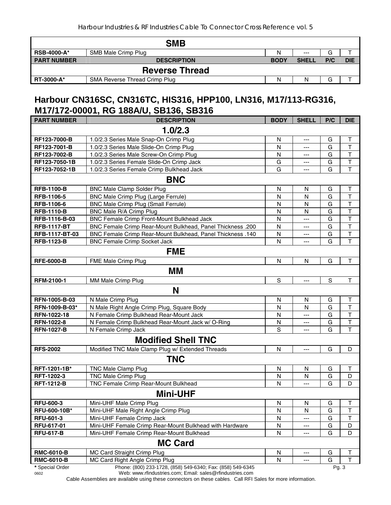|                    | <b>SMB</b>                    |             |              |     |            |  |  |  |  |
|--------------------|-------------------------------|-------------|--------------|-----|------------|--|--|--|--|
| <b>RSB-4000-A*</b> | SMB Male Crimp Plug           | N           | $---$        | G   |            |  |  |  |  |
| <b>PART NUMBER</b> | <b>DESCRIPTION</b>            | <b>BODY</b> | <b>SHELL</b> | P/C | <b>DIE</b> |  |  |  |  |
|                    | <b>Reverse Thread</b>         |             |              |     |            |  |  |  |  |
| <b>RT-3000-A*</b>  | SMA Reverse Thread Crimp Plug | N           | N            | G   |            |  |  |  |  |

#### **Harbour CN316SC, CN316TC, HIS316, HPP100, LN316, M17/113-RG316, M17/172-00001, RG 188A/U, SB136, SB316**

| <b>PART NUMBER</b> | <b>DESCRIPTION</b>                                                | <b>BODY</b>  | <b>SHELL</b> | P/C           | <b>DIE</b>              |  |  |  |
|--------------------|-------------------------------------------------------------------|--------------|--------------|---------------|-------------------------|--|--|--|
|                    | 1.0/2.3                                                           |              |              |               |                         |  |  |  |
| RF123-7000-B       | 1.0/2.3 Series Male Snap-On Crimp Plug                            | N            | $---$        | G             | $\mathsf T$             |  |  |  |
| RF123-7001-B       | 1.0/2.3 Series Male Slide-On Crimp Plug                           | N            | ---          | G             | $\mathsf T$             |  |  |  |
| RF123-7002-B       | 1.0/2.3 Series Male Screw-On Crimp Plug                           | N            | ---          | G             | T                       |  |  |  |
| RF123-7050-1B      | 1.0/2.3 Series Female Slide-On Crimp Jack                         | G            | ---          | G             | T                       |  |  |  |
| RF123-7052-1B      | 1.0/2.3 Series Female Crimp Bulkhead Jack                         | G            | ---          | G             | $\top$                  |  |  |  |
|                    | <b>BNC</b>                                                        |              |              |               |                         |  |  |  |
| <b>RFB-1100-B</b>  | <b>BNC Male Clamp Solder Plug</b>                                 | N            | N            | G             | Τ                       |  |  |  |
| RFB-1106-5         | BNC Male Crimp Plug (Large Ferrule)                               | N            | N            | G             | T                       |  |  |  |
| RFB-1106-6         | <b>BNC Male Crimp Plug (Small Ferrule)</b>                        | N            | N            | G             | T                       |  |  |  |
| <b>RFB-1110-B</b>  | BNC Male R/A Crimp Plug                                           | $\mathsf{N}$ | N            | G             | T                       |  |  |  |
| RFB-1116-B-03      | BNC Female Crimp Front-Mount Bulkhead Jack                        | N            | ---          | G             | $\overline{\mathsf{T}}$ |  |  |  |
| <b>RFB-1117-BT</b> | <b>BNC Female Crimp Rear-Mount Bulkhead, Panel Thickness .200</b> | N            | ---          | G             | T                       |  |  |  |
| RFB-1117-BT-03     | <b>BNC Female Crimp Rear-Mount Bulkhead, Panel Thickness .140</b> | N            | ---          | G             | T                       |  |  |  |
| <b>RFB-1123-B</b>  | <b>BNC Female Crimp Socket Jack</b>                               | N            |              | G             | T                       |  |  |  |
|                    | <b>FME</b>                                                        |              |              |               |                         |  |  |  |
| <b>RFE-6000-B</b>  | FME Male Crimp Plug                                               | $\mathsf{N}$ | N            | G             | T                       |  |  |  |
|                    | MМ                                                                |              |              |               |                         |  |  |  |
| <b>RFM-2100-1</b>  | MM Male Crimp Plug                                                | S            | ---          | ${\mathsf S}$ | T                       |  |  |  |
|                    | N                                                                 |              |              |               |                         |  |  |  |
| RFN-1005-B-03      | N Male Crimp Plug                                                 | N            | N            | G             | $\mathsf T$             |  |  |  |
| RFN-1009-B-03*     | N Male Right Angle Crimp Plug, Square Body                        | N            | N            | G             | T                       |  |  |  |
| RFN-1022-18        | N Female Crimp Bulkhead Rear-Mount Jack                           | N            | ---          | G             | T                       |  |  |  |
| <b>RFN-1022-8</b>  | N Female Crimp Bulkhead Rear-Mount Jack w/ O-Ring                 | N            | ---          | G             | T                       |  |  |  |
| <b>RFN-1027-B</b>  | N Female Crimp Jack                                               | S            | ---          | G             | T                       |  |  |  |
|                    | <b>Modified Shell TNC</b>                                         |              |              |               |                         |  |  |  |
| <b>RFS-2002</b>    | Modified TNC Male Clamp Plug w/ Extended Threads                  | N            | $---$        | G             | D                       |  |  |  |
|                    | <b>TNC</b>                                                        |              |              |               |                         |  |  |  |
| RFT-1201-1B*       | TNC Male Clamp Plug                                               | N            | N            | G             | Τ                       |  |  |  |
| RFT-1202-3         | TNC Male Crimp Plug                                               | N            | N            | G             | D                       |  |  |  |
| <b>RFT-1212-B</b>  | TNC Female Crimp Rear-Mount Bulkhead                              | N            | ---          | G             | D                       |  |  |  |
|                    | <b>Mini-UHF</b>                                                   |              |              |               |                         |  |  |  |
| <b>RFU-600-3</b>   | Mini-UHF Male Crimp Plug                                          | N            | N            | G             | J.                      |  |  |  |
| RFU-600-10B*       | Mini-UHF Male Right Angle Crimp Plug                              | N            | N            | G             | Т                       |  |  |  |
| <b>RFU-601-3</b>   | Mini-UHF Female Crimp Jack                                        | N            | ---          | G             | Τ                       |  |  |  |
| RFU-617-01         | Mini-UHF Female Crimp Rear-Mount Bulkhead with Hardware           | N            | ---          | G             | D                       |  |  |  |
| <b>RFU-617-B</b>   | Mini-UHF Female Crimp Rear-Mount Bulkhead                         | N            | ---          | G             | D                       |  |  |  |
|                    | <b>MC Card</b>                                                    |              |              |               |                         |  |  |  |
| <b>RMC-6010-B</b>  | MC Card Straight Crimp Plug                                       | N            | ---          | G             | Т                       |  |  |  |
| <b>RMC-6010-B</b>  | MC Card Right Angle Crimp Plug                                    | N            | ---          | G             | т                       |  |  |  |
| * Special Order    | Phone: (800) 233-1728, (858) 549-6340; Fax: (858) 549-6345        |              |              | Pg. 3         |                         |  |  |  |

0602 Web: www.rfindustries.com; Email: sales@rfindustries.com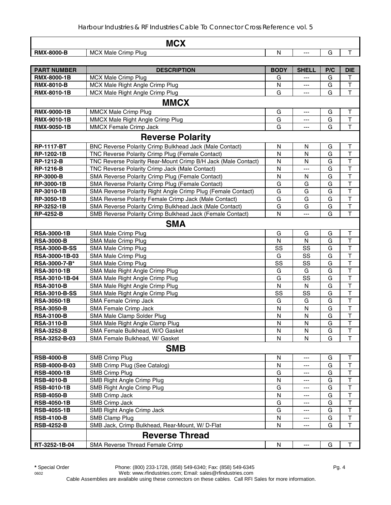| <b>MCX</b>           |                                                               |              |              |               |                         |
|----------------------|---------------------------------------------------------------|--------------|--------------|---------------|-------------------------|
| <b>RMX-8000-B</b>    | <b>MCX Male Crimp Plug</b>                                    | N            | ---          | G             | $\top$                  |
|                      |                                                               |              |              |               |                         |
| <b>PART NUMBER</b>   | <b>DESCRIPTION</b>                                            | <b>BODY</b>  | <b>SHELL</b> | P/C           | <b>DIE</b>              |
| <b>RMX-8000-1B</b>   | <b>MCX Male Crimp Plug</b>                                    | G            |              | G             | T.                      |
| <b>RMX-8010-B</b>    | MCX Male Right Angle Crimp Plug                               | N            | ---          | G             | $\top$                  |
| <b>RMX-8010-1B</b>   | MCX Male Right Angle Crimp Plug                               | G            | ---          | G             | T                       |
|                      | <b>MMCX</b>                                                   |              |              |               |                         |
| RMX-9000-1B          | <b>MMCX Male Crimp Plug</b>                                   | G            | ---          | G             | $\top$                  |
| <b>RMX-9010-1B</b>   | MMCX Male Right Angle Crimp Plug                              | G            | ---          | G             | $\top$                  |
| <b>RMX-9050-1B</b>   | <b>MMCX Female Crimp Jack</b>                                 | G            | ---          | G             | $\mathsf T$             |
|                      | <b>Reverse Polarity</b>                                       |              |              |               |                         |
| <b>RP-1117-BT</b>    | BNC Reverse Polarity Crimp Bulkhead Jack (Male Contact)       | N            | N            | G             | $\top$                  |
| RP-1202-1B           | TNC Reverse Polarity Crimp Plug (Female Contact)              | N            | N            | G             | $\mathsf T$             |
| <b>RP-1212-B</b>     | TNC Reverse Polarity Rear-Mount Crimp B/H Jack (Male Contact) | N            | N            | G             | Т                       |
| <b>RP-1216-B</b>     | TNC Reverse Polarity Crimp Jack (Male Contact)                | N            | ---          | G             | T                       |
| <b>RP-3000-B</b>     | SMA Reverse Polarity Crimp Plug (Female Contact)              | N            | N            | G             | T                       |
| RP-3000-1B           | SMA Reverse Polarity Crimp Plug (Female Contact)              | G            | G            | G             | $\top$                  |
| RP-3010-1B           | SMA Reverse Polarity Right Angle Crimp Plug (Female Contact)  | G            | G            | G             | T                       |
| RP-3050-1B           | SMA Reverse Polarity Female Crimp Jack (Male Contact)         | G            | G            | G             | $\overline{\mathsf{T}}$ |
| RP-3252-1B           | SMA Reverse Polarity Crimp Bulkhead Jack (Male Contact)       | G            | G            | G             | $\mathsf T$             |
| <b>RP-4252-B</b>     | SMB Reverse Polarity Crimp Bulkhead Jack (Female Contact)     | N            | ---          | G             | $\mathsf{T}$            |
|                      |                                                               |              |              |               |                         |
|                      | <b>SMA</b>                                                    |              |              |               |                         |
| <b>RSA-3000-1B</b>   | SMA Male Crimp Plug                                           | G            | G            | G             | Τ                       |
| <b>RSA-3000-B</b>    | SMA Male Crimp Plug                                           | N            | N            | G             | T                       |
| <b>RSA-3000-B-SS</b> | SMA Male Crimp Plug                                           | SS           | SS           | G             | $\overline{\mathsf{T}}$ |
| RSA-3000-1B-03       | SMA Male Crimp Plug                                           | G            | SS           | G             | $\mathsf{T}$            |
| RSA-3000-7-B*        | SMA Male Crimp Plug                                           | SS           | SS           | G             | $\top$                  |
| <b>RSA-3010-1B</b>   | SMA Male Right Angle Crimp Plug                               | G            | G            | G             | $\overline{\mathsf{T}}$ |
| RSA-3010-1B-04       | SMA Male Right Angle Crimp Plug                               | G            | SS           | G             | $\overline{\mathsf{T}}$ |
| <b>RSA-3010-B</b>    | SMA Male Right Angle Crimp Plug                               | N            | $\mathsf{N}$ | G             | $\overline{\mathsf{T}}$ |
| <b>RSA-3010-B-SS</b> | SMA Male Right Angle Crimp Plug                               | SS           | SS           | G             | $\top$                  |
| <b>RSA-3050-1B</b>   | SMA Female Crimp Jack                                         | G            | G            | G             | T                       |
| <b>RSA-3050-B</b>    | SMA Female Crimp Jack                                         | N            | N            | G             | T                       |
| <b>RSA-3100-B</b>    | SMA Male Clamp Solder Plug                                    | N            | N            | G             | T                       |
| <b>RSA-3110-B</b>    | SMA Male Right Angle Clamp Plug                               | N            | ${\sf N}$    | ${\mathsf G}$ | $\overline{\mathsf{T}}$ |
| <b>RSA-3252-B</b>    | SMA Female Bulkhead, W/O Gasket                               | N            | N            | G             | T                       |
| RSA-3252-B-03        | SMA Female Bulkhead, W/ Gasket                                | N            | N            | G             | T                       |
|                      | <b>SMB</b>                                                    |              |              |               |                         |
| <b>RSB-4000-B</b>    | <b>SMB Crimp Plug</b>                                         | N            | ---          | G             | Т                       |
| RSB-4000-B-03        | SMB Crimp Plug (See Catalog)                                  | N            | ---          | G             | T                       |
| <b>RSB-4000-1B</b>   | <b>SMB Crimp Plug</b>                                         | G            | ---          | G             | T                       |
| <b>RSB-4010-B</b>    | SMB Right Angle Crimp Plug                                    | N            | ---          | G             | $\mathsf T$             |
| <b>RSB-4010-1B</b>   | SMB Right Angle Crimp Plug                                    | G            | ---          | G             | $\top$                  |
| <b>RSB-4050-B</b>    | <b>SMB Crimp Jack</b>                                         | N            | ---          | G             | $\top$                  |
| <b>RSB-4050-1B</b>   | <b>SMB Crimp Jack</b>                                         | G            | ---          | G             | $\top$                  |
| <b>RSB-4055-1B</b>   | SMB Right Angle Crimp Jack                                    | G            | ---          | G             | T                       |
| <b>RSB-4100-B</b>    | SMB Clamp Plug                                                | N            | ---          | G             | $\sf T$                 |
| <b>RSB-4252-B</b>    | SMB Jack, Crimp Bulkhead, Rear-Mount, W/ D-Flat               | N            | ---          | G             | T                       |
|                      | <b>Reverse Thread</b>                                         |              |              |               |                         |
| RT-3252-1B-04        | SMA Reverse Thread Female Crimp                               | $\mathsf{N}$ | ---          | G             | T                       |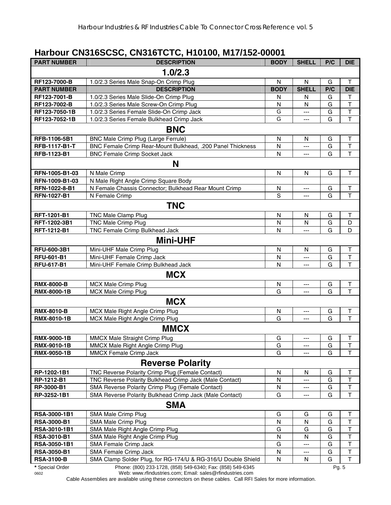## **Harbour CN316SCSC, CN316TCTC, H10100, M17/152-00001**

| <b>PART NUMBER</b>          | <b>DESCRIPTION</b>                                           | <b>BODY</b> | <b>SHELL</b> | P/C    | <b>DIE</b>              |
|-----------------------------|--------------------------------------------------------------|-------------|--------------|--------|-------------------------|
|                             | 1.0/2.3                                                      |             |              |        |                         |
| RF123-7000-B                | 1.0/2.3 Series Male Snap-On Crimp Plug                       | N           | N            | G      | Τ                       |
| <b>PART NUMBER</b>          | <b>DESCRIPTION</b>                                           | <b>BODY</b> | <b>SHELL</b> | P/C    | <b>DIE</b>              |
| RF123-7001-B                | 1.0/2.3 Series Male Slide-On Crimp Plug                      | N           | N            | G      | T                       |
| RF123-7002-B                | 1.0/2.3 Series Male Screw-On Crimp Plug                      | N           | N            | G      | $\mathsf T$             |
| RF123-7050-1B               | 1.0/2.3 Series Female Slide-On Crimp Jack                    | G           | ---          | G      | $\overline{\mathsf{T}}$ |
| RF123-7052-1B               | 1.0/2.3 Series Female Bulkhead Crimp Jack                    | G           | ---          | G      | $\overline{\mathsf{T}}$ |
|                             | <b>BNC</b>                                                   |             |              |        |                         |
| RFB-1106-5B1                | BNC Male Crimp Plug (Large Ferrule)                          | N           | N            | G      | T                       |
| <b>RFB-1117-B1-T</b>        | BNC Female Crimp Rear-Mount Bulkhead, .200 Panel Thickness   | N           | ---          | G      | T                       |
| RFB-1123-B1                 | <b>BNC Female Crimp Socket Jack</b>                          | N           | ---          | G      | $\overline{\mathsf{T}}$ |
|                             | N                                                            |             |              |        |                         |
| RFN-1005-B1-03              | N Male Crimp                                                 | N           | N            | G      | $\sf T$                 |
| RFN-1009-B1-03              | N Male Right Angle Crimp Square Body                         |             |              |        |                         |
| RFN-1022-8-B1               | N Female Chassis Connector; Bulkhead Rear Mount Crimp        | N           | ---          | G      | T                       |
| <b>RFN-1027-B1</b>          | N Female Crimp                                               | $\mathbf S$ | ---          | G      | $\overline{\mathsf{T}}$ |
|                             | <b>TNC</b>                                                   |             |              |        |                         |
|                             |                                                              |             |              |        |                         |
| RFT-1201-B1<br>RFT-1202-3B1 | TNC Male Clamp Plug<br><b>TNC Male Crimp Plug</b>            | N<br>N      | N<br>N       | G<br>G | Τ<br>D                  |
| RFT-1212-B1                 | TNC Female Crimp Bulkhead Jack                               | N           | ---          | G      | D                       |
|                             |                                                              |             |              |        |                         |
|                             | <b>Mini-UHF</b>                                              |             |              |        |                         |
| RFU-600-3B1                 | Mini-UHF Male Crimp Plug                                     | N           | N            | G      | T                       |
| <b>RFU-601-B1</b>           | Mini-UHF Female Crimp Jack                                   | N           | ---          | G      | $\overline{\mathsf{T}}$ |
| <b>RFU-617-B1</b>           | Mini-UHF Female Crimp Bulkhead Jack                          | N           | ---          | G      | $\overline{\mathsf{T}}$ |
|                             | <b>MCX</b>                                                   |             |              |        |                         |
| <b>RMX-8000-B</b>           | MCX Male Crimp Plug                                          | N           | ---          | G      | T                       |
| <b>RMX-8000-1B</b>          | <b>MCX Male Crimp Plug</b>                                   | G           | ---          | G      | $\overline{\mathsf{T}}$ |
|                             | <b>MCX</b>                                                   |             |              |        |                         |
| <b>RMX-8010-B</b>           | MCX Male Right Angle Crimp Plug                              | N           | ---          | G      | Τ                       |
| <b>RMX-8010-1B</b>          | MCX Male Right Angle Crimp Plug                              | G           | ---          | G      | $\top$                  |
|                             | <b>MMCX</b>                                                  |             |              |        |                         |
| <b>RMX-9000-1B</b>          | MMCX Male Straight Crimp Plug                                | G           | ---          | G      | T                       |
| <b>RMX-9010-1B</b>          | MMCX Male Right Angle Crimp Plug                             | G           | ---          | G      | J.                      |
| <b>RMX-9050-1B</b>          | MMCX Female Crimp Jack                                       | G           | ---          | G      | $\mathsf T$             |
|                             | <b>Reverse Polarity</b>                                      |             |              |        |                         |
| RP-1202-1B1                 | TNC Reverse Polarity Crimp Plug (Female Contact)             | N           | N            | G      | Т                       |
| RP-1212-B1                  | TNC Reverse Polarity Bulkhead Crimp Jack (Male Contact)      | N           | ---          | G      | Т                       |
| RP-3000-B1                  | SMA Reverse Polarity Crimp Plug (Female Contact)             | N           | ---          | G      | $\sf T$                 |
| RP-3252-1B1                 | SMA Reverse Polarity Bulkhead Crimp Jack (Male Contact)      | G           | ---          | G      | T                       |
|                             | <b>SMA</b>                                                   |             |              |        |                         |
| RSA-3000-1B1                | SMA Male Crimp Plug                                          | G           | G            | G      | Т                       |
| <b>RSA-3000-B1</b>          | SMA Male Crimp Plug                                          | N           | N            | G      | $\sf T$                 |
| RSA-3010-1B1                | SMA Male Right Angle Crimp Plug                              | G           | G            | G      | $\mathsf T$             |
| <b>RSA-3010-B1</b>          | SMA Male Right Angle Crimp Plug                              | N           | N            | G      | $\mathsf T$             |
| RSA-3050-1B1                | SMA Female Crimp Jack                                        | G           | ---          | G      | $\sf T$                 |
| <b>RSA-3050-B1</b>          | SMA Female Crimp Jack                                        | N           | ---          | G      | $\top$                  |
| <b>RSA-3100-B</b>           | SMA Clamp Solder Plug, for RG-174/U & RG-316/U Double Shield | N           | N            | G      | $\mathsf T$             |
| * Special Order             | Phone: (800) 233-1728, (858) 549-6340; Fax: (858) 549-6345   |             |              | Pg. 5  |                         |

<sup>0602</sup> Web: www.rfindustries.com; Email: sales@rfindustries.com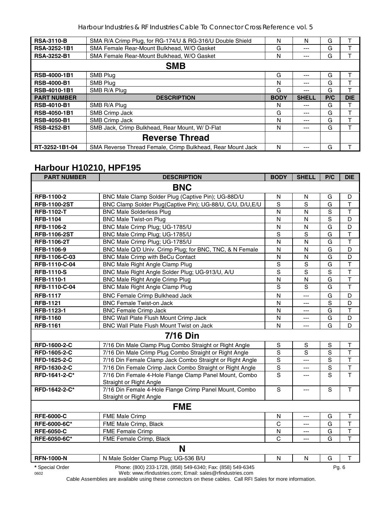| <b>RSA-3110-B</b>   | SMA R/A Crimp Plug, for RG-174/U & RG-316/U Double Shield | N           | N            | G   |            |  |  |
|---------------------|-----------------------------------------------------------|-------------|--------------|-----|------------|--|--|
| RSA-3252-1B1        | SMA Female Rear-Mount Bulkhead, W/O Gasket                | G           | $---$        | G   |            |  |  |
| <b>RSA-3252-B1</b>  | SMA Female Rear-Mount Bulkhead, W/O Gasket                | N           |              | G   |            |  |  |
|                     | <b>SMB</b>                                                |             |              |     |            |  |  |
| <b>RSB-4000-1B1</b> | SMB Plug                                                  | G           |              | G   | т          |  |  |
| <b>RSB-4000-B1</b>  | SMB Plug                                                  | N           | ---          | G   |            |  |  |
| <b>RSB-4010-1B1</b> | SMB R/A Plug                                              | G           |              | G   |            |  |  |
| <b>PART NUMBER</b>  | <b>DESCRIPTION</b>                                        | <b>BODY</b> | <b>SHELL</b> | P/C | <b>DIE</b> |  |  |
| <b>RSB-4010-B1</b>  | SMB R/A Plug                                              | N           |              | G   |            |  |  |
| <b>RSB-4050-1B1</b> | SMB Crimp Jack                                            | G           | ---          | G   |            |  |  |
| <b>RSB-4050-B1</b>  | SMB Crimp Jack                                            | N           | ---          | G   |            |  |  |
| <b>RSB-4252-B1</b>  | SMB Jack, Crimp Bulkhead, Rear Mount, W/ D-Flat           | N           | ---          | G   |            |  |  |
|                     | <b>Reverse Thread</b>                                     |             |              |     |            |  |  |
|                     |                                                           |             |              |     |            |  |  |

# **Harbour H10210, HPF195**

| <b>PART NUMBER</b>      | <b>DESCRIPTION</b>                                                                                                     | <b>BODY</b>    | <b>SHELL</b>        | P/C   | <b>DIE</b>              |
|-------------------------|------------------------------------------------------------------------------------------------------------------------|----------------|---------------------|-------|-------------------------|
|                         | <b>BNC</b>                                                                                                             |                |                     |       |                         |
| RFB-1100-2              | BNC Male Clamp Solder Plug (Captive Pin); UG-88D/U                                                                     | N              | N                   | G     | D                       |
| <b>RFB-1100-2ST</b>     | BNC Clamp Solder Plug(Captive Pin); UG-88/U, C/U, D/U, E/U                                                             | S              | S                   | G     | T                       |
| <b>RFB-1102-T</b>       | <b>BNC Male Solderless Plug</b>                                                                                        | N              | N                   | S     | $\mathsf T$             |
| <b>RFB-1104</b>         | <b>BNC Male Twist-on Plug</b>                                                                                          | N              | N                   | S     | D                       |
| RFB-1106-2              | BNC Male Crimp Plug; UG-1785/U                                                                                         | N              | N                   | G     | D                       |
| <b>RFB-1106-2ST</b>     | BNC Male Crimp Plug; UG-1785/U                                                                                         | S              | $\overline{s}$      | G     | T                       |
| <b>RFB-1106-2T</b>      | BNC Male Crimp Plug; UG-1785/U                                                                                         | N              | N                   | G     | $\top$                  |
| RFB-1106-9              | BNC Male Q/D Univ. Crimp Plug; for BNC, TNC, & N Female                                                                | N              | N                   | G     | D                       |
| RFB-1106-C-03           | BNC Male Crimp with BeCu Contact                                                                                       | N              | N                   | G     | D                       |
| RFB-1110-C-04           | <b>BNC Male Right Angle Clamp Plug</b>                                                                                 | ${\mathsf S}$  | $\mathbf S$         | G     | T                       |
| <b>RFB-1110-S</b>       | BNC Male Right Angle Solder Plug; UG-913/U, A/U                                                                        | S              | S                   | S     | T                       |
| RFB-1110-1              | <b>BNC Male Right Angle Crimp Plug</b>                                                                                 | $\mathsf{N}$   | N                   | G     | T                       |
| RFB-1110-C-04           | <b>BNC Male Right Angle Clamp Plug</b>                                                                                 | S              | S                   | G     | T                       |
| <b>RFB-1117</b>         | <b>BNC Female Crimp Bulkhead Jack</b>                                                                                  | N              | $\overline{a}$      | G     | D                       |
| <b>RFB-1121</b>         | <b>BNC Female Twist-on Jack</b>                                                                                        | N              | $\overline{a}$      | S     | D                       |
| RFB-1123-1              | <b>BNC Female Crimp Jack</b>                                                                                           | N              | $---$               | G     | $\mathsf{T}$            |
| <b>RFB-1160</b>         | BNC Wall Plate Flush Mount Crimp Jack                                                                                  | N              | $\overline{a}$      | G     | D                       |
| <b>RFB-1161</b>         | BNC Wall Plate Flush Mount Twist on Jack                                                                               | N              | $\overline{a}$      | G     | D                       |
|                         | <b>7/16 Din</b>                                                                                                        |                |                     |       |                         |
| RFD-1600-2-C            | 7/16 Din Male Clamp Plug Combo Straight or Right Angle                                                                 | S              | S                   | S     | Т                       |
| RFD-1605-2-C            | 7/16 Din Male Crimp Plug Combo Straight or Right Angle                                                                 | ${\mathsf S}$  | ${\mathsf S}$       | S     | T                       |
| RFD-1625-2-C            | 7/16 Din Female Clamp Jack Combo Straight or Right Angle                                                               | $\mathbf S$    | $\overline{a}$      | S     | T                       |
| RFD-1630-2-C            | 7/16 Din Female Crimp Jack Combo Straight or Right Angle                                                               | $\mathbf S$    | $\qquad \qquad - -$ | S     | $\overline{\mathsf{T}}$ |
| RFD-1641-2-C*           | 7/16 Din Female 4-Hole Flange Clamp Panel Mount, Combo<br>Straight or Right Angle                                      | $\overline{s}$ | ---                 | S     | $\mathsf{T}$            |
| RFD-1642-2-C*           | 7/16 Din Female 4-Hole Flange Crimp Panel Mount, Combo<br>Straight or Right Angle                                      | $\mathbf S$    | ---                 | S     | $\mathsf{T}$            |
|                         | <b>FME</b>                                                                                                             |                |                     |       |                         |
| <b>RFE-6000-C</b>       | FME Male Crimp                                                                                                         | N              | $\qquad \qquad - -$ | G     | Τ                       |
| RFE-6000-6C*            | FME Male Crimp, Black                                                                                                  | C              | $\sim$              | G     | T                       |
| <b>RFE-6050-C</b>       | FME Female Crimp                                                                                                       | N              | ---                 | G     | $\top$                  |
| RFE-6050-6C*            | FME Female Crimp, Black                                                                                                | C              | $\sim$              | G     | T                       |
|                         | N                                                                                                                      |                |                     |       |                         |
| <b>RFN-1000-N</b>       | N Male Solder Clamp Plug; UG-536 B/U                                                                                   | N              | N                   | G     | T                       |
| * Special Order<br>0602 | Phone: (800) 233-1728, (858) 549-6340; Fax: (858) 549-6345<br>Web: www.rfindustries.com; Email: sales@rfindustries.com |                |                     | Pg. 6 |                         |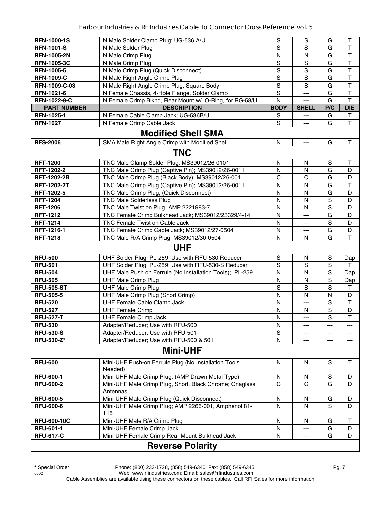| <b>RFN-1000-1S</b>      | N Male Solder Clamp Plug; UG-536 A/U                            | S            | S                         | G           | Τ                       |  |  |  |
|-------------------------|-----------------------------------------------------------------|--------------|---------------------------|-------------|-------------------------|--|--|--|
| <b>RFN-1001-S</b>       | N Male Solder Plug                                              | S            | S                         | G           | T                       |  |  |  |
| <b>RFN-1005-2N</b>      | N Male Crimp Plug                                               | N            | N                         | G           | $\mathsf{T}$            |  |  |  |
| <b>RFN-1005-3C</b>      | N Male Crimp Plug                                               | S            | S                         | G           | T                       |  |  |  |
| <b>RFN-1005-5</b>       | N Male Crimp Plug (Quick Disconnect)                            | S            | S                         | G           | $\mathsf T$             |  |  |  |
| <b>RFN-1009-C</b>       | N Male Right Angle Crimp Plug                                   | $\mathsf S$  | S                         | G           | $\mathsf T$             |  |  |  |
| RFN-1009-C-03           | N Male Right Angle Crimp Plug, Square Body                      | $\mathsf S$  | S                         | G           | T                       |  |  |  |
| RFN-1021-6              | N Female Chassis, 4-Hole Flange, Solder Clamp                   | S            | ---                       | G           | $\mathsf{T}$            |  |  |  |
| RFN-1022-8-C            | N Female Crimp Blkhd, Rear Mount w/ O-Ring, for RG-58/U         | N            | $---$                     | G           | $\mathsf{T}$            |  |  |  |
| <b>PART NUMBER</b>      | <b>DESCRIPTION</b>                                              | <b>BODY</b>  | <b>SHELL</b>              | P/C         | <b>DIE</b>              |  |  |  |
| <b>RFN-1025-1</b>       | N Female Cable Clamp Jack; UG-536B/U                            | S            | $\overline{a}$            | G           | T                       |  |  |  |
| <b>RFN-1027</b>         | N Female Crimp Cable Jack                                       | S            | $\overline{a}$            | G           | $\mathsf{T}$            |  |  |  |
|                         | <b>Modified Shell SMA</b>                                       |              |                           |             |                         |  |  |  |
| <b>RFS-2006</b>         | SMA Male Right Angle Crimp with Modified Shell                  | $\mathsf{N}$ | $\qquad \qquad -\qquad -$ | G           | $\mathsf{T}$            |  |  |  |
|                         |                                                                 |              |                           |             |                         |  |  |  |
|                         | <b>TNC</b>                                                      |              |                           |             |                         |  |  |  |
| <b>RFT-1200</b>         | TNC Male Clamp Solder Plug; MS39012/26-0101                     | N            | N                         | S           | Т                       |  |  |  |
| RFT-1202-2              | TNC Male Crimp Plug (Captive Pin); MS39012/26-0011              | N            | N                         | G           | D                       |  |  |  |
| <b>RFT-1202-2B</b>      | TNC Male Crimp Plug (Black Body); MS39012/26-001                | $\mathsf{C}$ | $\mathsf{C}$              | G           | D                       |  |  |  |
| <b>RFT-1202-2T</b>      | TNC Male Crimp Plug (Captive Pin); MS39012/26-0011              | N            | N                         | G           | $\mathsf{T}$            |  |  |  |
| RFT-1202-5              | TNC Male Crimp Plug; (Quick Disconnect)                         | N            | N                         | G           | D                       |  |  |  |
| <b>RFT-1204</b>         | <b>TNC Male Solderless Plug</b>                                 | N            | N                         | $\mathbb S$ | D                       |  |  |  |
| <b>RFT-1206</b>         | TNC Male Twist on Plug; AMP 2221983-7                           | N            | N                         | S           | D                       |  |  |  |
| <b>RFT-1212</b>         | TNC Female Crimp Bulkhead Jack; MS39012/23329/4-14              | $\mathsf{N}$ | $---$                     | G           | D                       |  |  |  |
| <b>RFT-1214</b>         | TNC Female Twist on Cable Jack                                  | N            | $---$                     | S           | D                       |  |  |  |
| RFT-1216-1              | TNC Female Crimp Cable Jack; MS39012/27-0504                    | N            | ---                       | G           | D                       |  |  |  |
| <b>RFT-1218</b>         | TNC Male R/A Crimp Plug; MS39012/30-0504                        | $\mathsf{N}$ | N                         | G           | $\mathsf{T}$            |  |  |  |
|                         | <b>UHF</b>                                                      |              |                           |             |                         |  |  |  |
| <b>RFU-500</b>          | UHF Solder Plug; PL-259; Use with RFU-530 Reducer               | $\mathbf S$  | N                         | S           | Dap                     |  |  |  |
| <b>RFU-501</b>          | UHF Solder Plug; PL-259; Use with RFU-530-S Reducer             | S            | S                         | S           | т                       |  |  |  |
| <b>RFU-504</b>          | UHF Male Push on Ferrule (No Installation Tools); PL-259        | N            | $\mathsf{N}$              | $\mathbf S$ | Dap                     |  |  |  |
| <b>RFU-505</b>          | <b>UHF Male Crimp Plug</b>                                      | N            | N                         | S           | Dap                     |  |  |  |
| <b>RFU-505-ST</b>       | <b>UHF Male Crimp Plug</b>                                      | S            | S                         | S           | T                       |  |  |  |
| <b>RFU-505-5</b>        | UHF Male Crimp Plug (Short Crimp)                               | $\mathsf{N}$ | N                         | N           | D                       |  |  |  |
| <b>RFU-520</b>          | UHF Female Cable Clamp Jack                                     | N            | ---                       | S           | $\mathsf T$             |  |  |  |
| <b>RFU-527</b>          | <b>UHF Female Crimp</b>                                         | $\mathsf{N}$ | N                         | $\mathbf S$ | D                       |  |  |  |
| <b>RFU-527-T</b>        | <b>UHF Female Crimp Jack</b>                                    | N            | ---                       | S           | $\overline{\mathsf{T}}$ |  |  |  |
| <b>RFU-530</b>          | Adapter/Reducer; Use with RFU-500                               | N            | $---$                     | $---$       | $---$                   |  |  |  |
| <b>RFU-530-S</b>        | Adapter/Reducer; Use with RFU-501                               | S            |                           | ---         | ---                     |  |  |  |
| <b>RFU-530-Z*</b>       | Adapter/Reducer; Use with RFU-500 & 501                         | $\mathsf{N}$ | ---                       | ---         | ---                     |  |  |  |
|                         | <b>Mini-UHF</b>                                                 |              |                           |             |                         |  |  |  |
|                         |                                                                 |              |                           |             |                         |  |  |  |
| <b>RFU-600</b>          | Mini-UHF Push-on Ferrule Plug (No Installation Tools<br>Needed) | N            | N                         | S           | Τ                       |  |  |  |
| <b>RFU-600-1</b>        | Mini-UHF Male Crimp Plug; (AMP Drawn Metal Type)                | N            | N                         | S           | D                       |  |  |  |
| <b>RFU-600-2</b>        | Mini-UHF Male Crimp Plug, Short, Black Chrome; Onaglass         | C            | $\mathsf{C}$              | G           | D                       |  |  |  |
|                         | Antennas                                                        |              |                           |             |                         |  |  |  |
| <b>RFU-600-5</b>        | Mini-UHF Male Crimp Plug (Quick Disconnect)                     | N            | N                         | G           | D                       |  |  |  |
| <b>RFU-600-6</b>        | Mini-UHF Male Crimp Plug; AMP 2266-001, Amphenol 81-            | N            | N                         | S           | D                       |  |  |  |
|                         | 115                                                             |              |                           |             |                         |  |  |  |
| <b>RFU-600-10C</b>      | Mini-UHF Male R/A Crimp Plug                                    | N            | N                         | G           | Τ                       |  |  |  |
| <b>RFU-601-1</b>        | Mini-UHF Female Crimp Jack                                      | N            | ---                       | G           | D                       |  |  |  |
| <b>RFU-617-C</b>        | Mini-UHF Female Crimp Rear Mount Bulkhead Jack                  | N            | ---                       | G           | D                       |  |  |  |
| <b>Reverse Polarity</b> |                                                                 |              |                           |             |                         |  |  |  |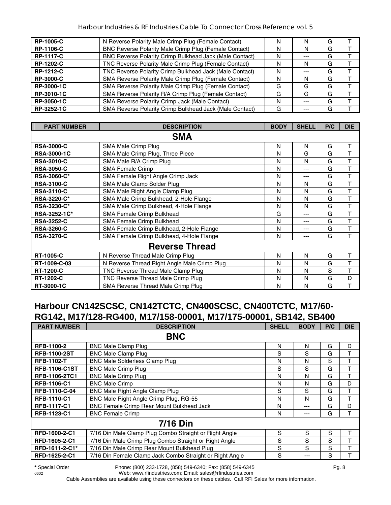| <b>RP-1005-C</b>  | N Reverse Polarity Male Crimp Plug (Female Contact)     | N | N       | G |  |
|-------------------|---------------------------------------------------------|---|---------|---|--|
| <b>RP-1106-C</b>  | BNC Reverse Polarity Male Crimp Plug (Female Contact)   | N | N       | G |  |
| <b>RP-1117-C</b>  | BNC Reverse Polarity Crimp Bulkhead Jack (Male Contact) | N | $- - -$ | G |  |
| <b>RP-1202-C</b>  | TNC Reverse Polarity Male Crimp Plug (Female Contact)   | N | N       | G |  |
| <b>RP-1212-C</b>  | TNC Reverse Polarity Crimp Bulkhead Jack (Male Contact) | N | $- - -$ | G |  |
| <b>RP-3000-C</b>  | SMA Reverse Polarity Male Crimp Plug (Female Contact)   | N | N       | G |  |
| RP-3000-1C        | SMA Reverse Polarity Male Crimp Plug (Female Contact)   | G | G       | G |  |
| <b>RP-3010-1C</b> | SMA Reverse Polarity R/A Crimp Plug (Female Contact)    | G | G       | G |  |
| RP-3050-1C        | SMA Reverse Polarity Crimp Jack (Male Contact)          | N | $- - -$ | G |  |
| RP-3252-1C        | SMA Reverse Polarity Crimp Bulkhead Jack (Male Contact) | G |         | G |  |

| <b>PART NUMBER</b> | <b>DESCRIPTION</b>                           | <b>BODY</b> | <b>SHELL</b> | P/C | <b>DIE</b> |
|--------------------|----------------------------------------------|-------------|--------------|-----|------------|
|                    | <b>SMA</b>                                   |             |              |     |            |
| <b>RSA-3000-C</b>  | SMA Male Crimp Plug                          | N           | N            | G   | Т          |
| <b>RSA-3000-1C</b> | SMA Male Crimp Plug, Three Piece             | N           | G            | G   | Т          |
| <b>RSA-3010-C</b>  | SMA Male R/A Crimp Plug                      | N           | N            | G   | т          |
| <b>RSA-3050-C</b>  | <b>SMA Female Crimp</b>                      | N           | ---          | G   | T          |
| <b>RSA-3060-C*</b> | SMA Female Right Angle Crimp Jack            | N           | ---          | G   | Т          |
| <b>RSA-3100-C</b>  | SMA Male Clamp Solder Plug                   | N           | N            | G   | T          |
| <b>RSA-3110-C</b>  | SMA Male Right Angle Clamp Plug              | N           | N            | G   | T          |
| RSA-3220-C*        | SMA Male Crimp Bulkhead, 2-Hole Flange       | N           | N            | G   | T          |
| <b>RSA-3230-C*</b> | SMA Male Crimp Bulkhead, 4-Hole Flange       | N           | N            | G   | T          |
| RSA-3252-1C*       | <b>SMA Female Crimp Bulkhead</b>             | G           | ---          | G   | Т          |
| <b>RSA-3252-C</b>  | SMA Female Crimp Bulkhead                    | N           | ---          | G   | T          |
| <b>RSA-3260-C</b>  | SMA Female Crimp Bulkhead, 2-Hole Flange     | N           | ---          | G   | T          |
| <b>RSA-3270-C</b>  | SMA Female Crimp Bulkhead, 4-Hole Flange     | N           | ---          | G   | т          |
|                    | <b>Reverse Thread</b>                        |             |              |     |            |
| <b>RT-1005-C</b>   | N Reverse Thread Male Crimp Plug             | N           | N            | G   | Т          |
| RT-1009-C-03       | N Reverse Thread Right Angle Male Crimp Plug | N           | N            | G   | T          |
| <b>RT-1200-C</b>   | TNC Reverse Thread Male Clamp Plug           | N           | N            | S   | Т          |
| <b>RT-1202-C</b>   | TNC Reverse Thread Male Crimp Plug           | N           | N            | G   | D          |
| RT-3000-1C         | SMA Reverse Thread Male Crimp Plug           | N           | N            | G   | T          |

#### **Harbour CN142SCSC, CN142TCTC, CN400SCSC, CN400TCTC, M17/60- RG142, M17/128-RG400, M17/158-00001, M17/175-00001, SB142, SB400**

| <b>PART NUMBER</b>   | <b>DESCRIPTION</b>                                       | <b>SHELL</b> | <b>BODY</b> | P/C | <b>DIE</b> |
|----------------------|----------------------------------------------------------|--------------|-------------|-----|------------|
|                      | <b>BNC</b>                                               |              |             |     |            |
| RFB-1100-2           | <b>BNC Male Clamp Plug</b>                               | N            | N           | G   | D          |
| <b>RFB-1100-2ST</b>  | <b>BNC Male Clamp Plug</b>                               | S            | S           | G   | т          |
| <b>RFB-1102-T</b>    | <b>BNC Male Solderless Clamp Plug</b>                    | N            | N           | S   | т          |
| <b>RFB-1106-C1ST</b> | <b>BNC Male Crimp Plug</b>                               | S            | S           | G   | т          |
| RFB-1106-2TC1        | <b>BNC Male Crimp Plug</b>                               | N            | N           | G   | T          |
| <b>RFB-1106-C1</b>   | <b>BNC Male Crimp</b>                                    | N            | N           | G   | D          |
| RFB-1110-C-04        | <b>BNC Male Right Angle Clamp Plug</b>                   | S            | S           | G   | T          |
| <b>RFB-1110-C1</b>   | BNC Male Right Angle Crimp Plug, RG-55                   | N            | N           | G   | т          |
| <b>RFB-1117-C1</b>   | BNC Female Crimp Rear Mount Bulkhead Jack                | N            | ---         | G   | D          |
| <b>RFB-1123-C1</b>   | <b>BNC Female Crimp</b>                                  | N            | ---         | G   | т          |
|                      | <b>7/16 Din</b>                                          |              |             |     |            |
| RFD-1600-2-C1        | 7/16 Din Male Clamp Plug Combo Straight or Right Angle   | S            | S           | S   | т          |
| RFD-1605-2-C1        | 7/16 Din Male Crimp Plug Combo Straight or Right Angle   | S            | S           | S   | т          |
| RFD-1611-2-C1*       | 7/16 Din Male Crimp Rear Mount Bulkhead Plug             | S            | S           | S   | т          |
| RFD-1625-2-C1        | 7/16 Din Female Clamp Jack Combo Straight or Right Angle | S            | ---         | S   |            |

**\*** Special Order Phone: (800) 233-1728, (858) 549-6340; Fax: (858) 549-6345 Pg. 8 0602 Web: www.rfindustries.com; Email: sales@rfindustries.com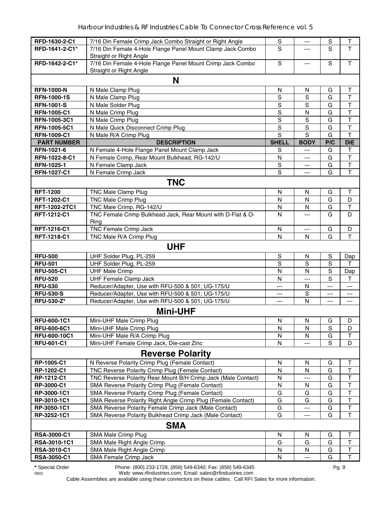| RFD-1630-2-C1                | 7/16 Din Female Crimp Jack Combo Straight or Right Angle                                | $\mathbb S$    | ---               | $\mathbf S$ | $\top$       |
|------------------------------|-----------------------------------------------------------------------------------------|----------------|-------------------|-------------|--------------|
| RFD-1641-2-C1*               | 7/16 Din Female 4-Hole Flange Panel Mount Clamp Jack Combo                              | S              | $---$             | S           | T            |
|                              | Straight or Right Angle                                                                 |                |                   |             |              |
| RFD-1642-2-C1*               | 7/16 Din Female 4-Hole Flange Panel Mount Crimp Jack Combo                              | S              | ---               | S           | $\mathsf T$  |
|                              | Straight or Right Angle                                                                 |                |                   |             |              |
|                              | N                                                                                       |                |                   |             |              |
| <b>RFN-1000-N</b>            | N Male Clamp Plug                                                                       | N              | N                 | G           | T            |
| <b>RFN-1000-1S</b>           | N Male Clamp Plug                                                                       | ${\mathsf S}$  | S                 | G           | $\top$       |
| <b>RFN-1001-S</b>            | N Male Solder Plug                                                                      | $\mathbb S$    | S                 | G           | $\top$       |
| <b>RFN-1005-C1</b>           | N Male Crimp Plug                                                                       | $\mathsf S$    | $\mathsf{N}$      | G           | T            |
| RFN-1005-3C1                 | N Male Crimp Plug                                                                       | $\mathbf S$    | S                 | G           | T            |
| RFN-1005-5C1                 | N Male Quick Disconnect Crimp Plug                                                      | $\mathbf S$    | $\mathbf S$       | G           | $\mathsf T$  |
| <b>RFN-1009-C1</b>           | N Male R/A Crimp Plug                                                                   | $\overline{s}$ | $\overline{s}$    | G           | $\mathsf{T}$ |
| <b>PART NUMBER</b>           | <b>DESCRIPTION</b>                                                                      | <b>SHELL</b>   | <b>BODY</b>       | P/C         | <b>DIE</b>   |
| RFN-1021-6                   | N Female 4-Hole Flange Panel Mount Clamp Jack                                           | S              | $\overline{a}$    | G           | Т            |
| RFN-1022-8-C1                | N Female Crimp, Rear Mount Bulkhead, RG-142/U                                           | N              | ---               | G           | $\top$       |
| RFN-1025-1                   | N Female Clamp Jack                                                                     | $\mathbb S$    | ---               | G           | T            |
| RFN-1027-C1                  | N Female Crimp Jack                                                                     | $\overline{s}$ | ---               | G           | T            |
|                              | <b>TNC</b>                                                                              |                |                   |             |              |
|                              |                                                                                         |                |                   |             |              |
| <b>RFT-1200</b>              | <b>TNC Male Clamp Plug</b>                                                              | $\mathsf{N}$   | N                 | G           | т            |
| RFT-1202-C1                  | <b>TNC Male Crimp Plug</b>                                                              | N              | $\mathsf{N}$<br>N | G<br>G      | D<br>T       |
| RFT-1202-2TC1<br>RFT-1212-C1 | TNC Male Crimp, RG-142/U<br>TNC Female Crimp Bulkhead Jack, Rear Mount with D-Flat & O- | N<br>N         |                   | G           | D            |
|                              |                                                                                         |                | ---               |             |              |
| RFT-1216-C1                  | Ring<br><b>TNC Female Crimp Jack</b>                                                    | $\mathsf{N}$   | ---               | G           | D            |
| RFT-1218-C1                  | TNC Male R/A Crimp Plug                                                                 | N              | N                 | G           | T            |
|                              |                                                                                         |                |                   |             |              |
|                              | <b>UHF</b>                                                                              |                |                   |             |              |
| <b>RFU-500</b>               | UHF Solder Plug, PL-259                                                                 | $\mathbb S$    | N                 | S           | Dap          |
| <b>RFU-501</b>               | UHF Solder Plug, PL-259                                                                 | S              | S                 | $\mathbf S$ | т            |
| <b>RFU-505-C1</b>            | <b>UHF Male Crimp</b>                                                                   | N              | N                 | S           | Dap          |
| <b>RFU-520</b>               | <b>UHF Female Clamp Jack</b>                                                            | N              | ---               | S           | T            |
| <b>RFU-530</b>               | Reducer/Adapter, Use with RFU-500 & 501; UG-175/U                                       | ---            | N                 | ---         | ---          |
| <b>RFU-530-S</b>             | Reducer/Adapter, Use with RFU-500 & 501; UG-175/U                                       | ---            | S                 | ---         | ---          |
| <b>RFU-530-Z*</b>            | Reducer/Adapter, Use with RFU-500 & 501; UG-175/U                                       | $---$          | N                 | $\cdots$    | ---          |
|                              | <b>Mini-UHF</b>                                                                         |                |                   |             |              |
| RFU-600-1C1                  | Mini-UHF Male Crimp Plug                                                                | ${\sf N}$      | ${\sf N}$         | G           | D            |
| <b>RFU-600-6C1</b>           | Mini-UHF Male Crimp Plug                                                                | N              | N                 | $\mathbf S$ | D            |
| <b>RFU-600-10C1</b>          | Mini-UHF Male R/A Crimp Plug                                                            | N              | N                 | G           | т            |
| <b>RFU-601-C1</b>            | Mini-UHF Female Crimp Jack, Die-cast Zinc                                               | N              |                   | S           | D            |
|                              | <b>Reverse Polarity</b>                                                                 |                |                   |             |              |
| RP-1005-C1                   | N Reverse Polarity Crimp Plug (Female Contact)                                          | N              | N                 | G           | Τ            |
| RP-1202-C1                   | TNC Reverse Polarity Crimp Plug (Female Contact)                                        | N              | N                 | G           | T            |
| RP-1212-C1                   | TNC Reverse Polarity Rear Mount B/H Crimp Jack (Male Contact)                           | N              | ---               | G           | T            |
| RP-3000-C1                   | SMA Reverse Polarity Crimp Plug (Female Contact)                                        | N              | N                 | G           | T            |
| RP-3000-1C1                  | SMA Reverse Polarity Crimp Plug (Female Contact)                                        | G              | G                 | G           | T            |
| RP-3010-1C1                  | SMA Reverse Polarity Right Angle Crimp Plug (Female Contact)                            | G              | G                 | G           | $\mathsf T$  |
| RP-3050-1C1                  | SMA Reverse Polarity Female Crimp Jack (Male Contact)                                   | G              | ---               | G           | T            |
| RP-3252-1C1                  | SMA Reverse Polarity Bulkhead Crimp Jack (Male Contact)                                 | G              | ---               | G           | $\mathsf T$  |
|                              | <b>SMA</b>                                                                              |                |                   |             |              |
| <b>RSA-3000-C1</b>           | SMA Male Crimp Plug                                                                     | N              | N                 | G           | Т            |
| RSA-3010-1C1                 | SMA Male Right Angle Crimp                                                              | G              | G                 | G           | $\top$       |
| RSA-3010-C1                  | SMA Male Right Angle Crimp                                                              | N              | N                 | G           | $\sf T$      |
| <b>RSA-3050-C1</b>           | SMA Female Crimp Jack                                                                   | N              | $---$             | G           | $\top$       |
|                              |                                                                                         |                |                   |             |              |

**\*** Special Order Phone: (800) 233-1728, (858) 549-6340; Fax: (858) 549-6345 Pg. 9

0602 Web: www.rfindustries.com; Email: sales@rfindustries.com Cable Assemblies are available using these connectors on these cables. Call RFI Sales for more information.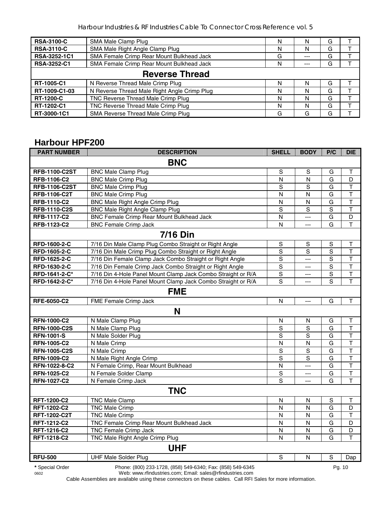| <b>RSA-3100-C</b>  | SMA Male Clamp Plug                          | N | N     | G |  |
|--------------------|----------------------------------------------|---|-------|---|--|
| <b>RSA-3110-C</b>  | SMA Male Right Angle Clamp Plug              | N | N     | G |  |
| RSA-3252-1C1       | SMA Female Crimp Rear Mount Bulkhead Jack    | G | ---   | G |  |
| <b>RSA-3252-C1</b> | SMA Female Crimp Rear Mount Bulkhead Jack    | N | $---$ | G |  |
|                    | <b>Reverse Thread</b>                        |   |       |   |  |
| RT-1005-C1         | N Reverse Thread Male Crimp Plug             | N |       | G |  |
| RT-1009-C1-03      | N Reverse Thread Male Right Angle Crimp Plug | N | N     | G |  |
| <b>RT-1200-C</b>   | TNC Reverse Thread Male Crimp Plug           | N |       | G |  |
| RT-1202-C1         | TNC Reverse Thread Male Crimp Plug           | N | N     | G |  |
| RT-3000-1C1        | SMA Reverse Thread Male Crimp Plug           | G | G     | G |  |

#### **Harbour HPF200**

| <b>PART NUMBER</b>   | <b>DESCRIPTION</b>                                           | <b>SHELL</b>   | <b>BODY</b>             | P/C            | <b>DIE</b>              |  |  |  |
|----------------------|--------------------------------------------------------------|----------------|-------------------------|----------------|-------------------------|--|--|--|
| <b>BNC</b>           |                                                              |                |                         |                |                         |  |  |  |
| <b>RFB-1100-C2ST</b> | <b>BNC Male Clamp Plug</b>                                   | S              | S                       | G              | $\mathsf T$             |  |  |  |
| RFB-1106-C2          | <b>BNC Male Crimp Plug</b>                                   | N              | N                       | G              | D                       |  |  |  |
| <b>RFB-1106-C2ST</b> | <b>BNC Male Crimp Plug</b>                                   | $\mathbf S$    | $\mathbf S$             | G              | $\overline{\mathsf{T}}$ |  |  |  |
| <b>RFB-1106-C2T</b>  | <b>BNC Male Crimp Plug</b>                                   | $\overline{N}$ | N                       | G              | $\overline{\mathsf{T}}$ |  |  |  |
| RFB-1110-C2          | <b>BNC Male Right Angle Crimp Plug</b>                       | $\overline{N}$ | N                       | G              | $\overline{\mathsf{T}}$ |  |  |  |
| <b>RFB-1110-C2S</b>  | <b>BNC Male Right Angle Clamp Plug</b>                       | $\overline{s}$ | $\overline{s}$          | $\mathbf S$    | $\top$                  |  |  |  |
| RFB-1117-C2          | BNC Female Crimp Rear Mount Bulkhead Jack                    | $\mathsf{N}$   | $\overline{a}$          | G              | D                       |  |  |  |
| RFB-1123-C2          | <b>BNC Female Crimp Jack</b>                                 | $\overline{N}$ | $\overline{a}$          | G              | $\mathsf{T}$            |  |  |  |
|                      | <b>7/16 Din</b>                                              |                |                         |                |                         |  |  |  |
| RFD-1600-2-C         | 7/16 Din Male Clamp Plug Combo Straight or Right Angle       | $\mathsf S$    | $\mathsf S$             | S              | Т                       |  |  |  |
| RFD-1605-2-C         | 7/16 Din Male Crimp Plug Combo Straight or Right Angle       | $\mathsf S$    | S                       | $\mathbf S$    | $\mathsf T$             |  |  |  |
| RFD-1625-2-C         | 7/16 Din Female Clamp Jack Combo Straight or Right Angle     | $\overline{s}$ | $\overline{a}$          | $\overline{s}$ | $\overline{\mathsf{T}}$ |  |  |  |
| RFD-1630-2-C         | 7/16 Din Female Crimp Jack Combo Straight or Right Angle     | $\overline{s}$ | $\overline{a}$          | S              | $\overline{\mathsf{T}}$ |  |  |  |
| RFD-1641-2-C*        | 7/16 Din 4-Hole Panel Mount Clamp Jack Combo Straight or R/A | $\mathbb S$    | $\overline{a}$          | S              | $\mathsf T$             |  |  |  |
| RFD-1642-2-C*        | 7/16 Din 4-Hole Panel Mount Clamp Jack Combo Straight or R/A | S              | $---$                   | S              | T                       |  |  |  |
|                      | <b>FME</b>                                                   |                |                         |                |                         |  |  |  |
| <b>RFE-6050-C2</b>   | FME Female Crimp Jack                                        | N              | $---$                   | G              | T                       |  |  |  |
|                      | N                                                            |                |                         |                |                         |  |  |  |
| <b>RFN-1000-C2</b>   | N Male Clamp Plug                                            | $\mathsf{N}$   | N                       | G              | $\mathsf T$             |  |  |  |
| <b>RFN-1000-C2S</b>  | N Male Clamp Plug                                            | $\overline{s}$ | $\overline{s}$          | G              | $\mathsf T$             |  |  |  |
| <b>RFN-1001-S</b>    | N Male Solder Plug                                           | $\overline{s}$ | $\overline{s}$          | G              | $\overline{\mathsf{T}}$ |  |  |  |
| <b>RFN-1005-C2</b>   | N Male Crimp                                                 | $\overline{N}$ | ${\sf N}$               | G              | $\overline{\mathsf{T}}$ |  |  |  |
| <b>RFN-1005-C2S</b>  | N Male Crimp                                                 | $\mathbf S$    | $\mathbf S$             | G              | $\overline{\mathsf{T}}$ |  |  |  |
| <b>RFN-1009-C2</b>   | N Male Right Angle Crimp                                     | $\overline{s}$ | $\overline{s}$          | G              | $\overline{\mathsf{T}}$ |  |  |  |
| RFN-1022-8-C2        | N Female Crimp, Rear Mount Bulkhead                          | $\overline{N}$ | $\overline{a}$          | G              | $\overline{\mathsf{T}}$ |  |  |  |
| <b>RFN-1025-C2</b>   | N Female Solder Clamp                                        | $\mathbf S$    | $---$                   | G              | $\top$                  |  |  |  |
| <b>RFN-1027-C2</b>   | N Female Crimp Jack                                          | $\mathbf S$    | $\overline{a}$          | G              | T                       |  |  |  |
|                      | <b>TNC</b>                                                   |                |                         |                |                         |  |  |  |
| RFT-1200-C2          | <b>TNC Male Clamp</b>                                        | $\mathsf{N}$   | $\mathsf{N}$            | $\mathbf S$    | $\top$                  |  |  |  |
| RFT-1202-C2          | <b>TNC Male Crimp</b>                                        | $\mathsf{N}$   | $\mathsf{N}$            | G              | D                       |  |  |  |
| RFT-1202-C2T         | <b>TNC Male Crimp</b>                                        | N              | N                       | G              | $\mathsf T$             |  |  |  |
| RFT-1212-C2          | TNC Female Crimp Rear Mount Bulkhead Jack                    | N              | N                       | G              | D                       |  |  |  |
| RFT-1216-C2          | TNC Female Crimp Jack                                        | $\mathsf{N}$   | $\overline{\mathsf{N}}$ | G              | D                       |  |  |  |
| RFT-1218-C2          | <b>TNC Male Right Angle Crimp Plug</b>                       | N              | N                       | G              | T                       |  |  |  |
|                      | <b>UHF</b>                                                   |                |                         |                |                         |  |  |  |
| <b>RFU-500</b>       | <b>UHF Male Solder Plug</b>                                  | $\mathsf S$    | N                       | $\mathbf S$    | Dap                     |  |  |  |
| * Special Order      | Phone: (800) 233-1728, (858) 549-6340; Fax: (858) 549-6345   |                |                         | Pg. 10         |                         |  |  |  |

0602 Web: www.rfindustries.com; Email: sales@rfindustries.com Cable Assemblies are available using these connectors on these cables. Call RFI Sales for more information.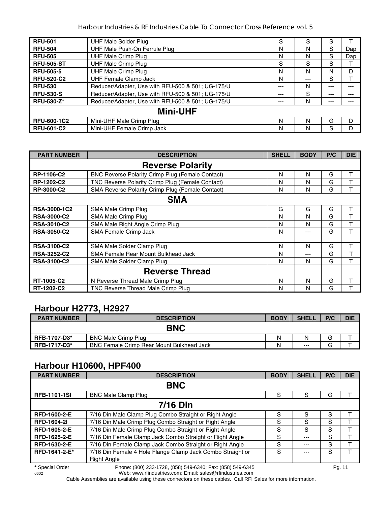| <b>RFU-501</b>     | <b>UHF Male Solder Plug</b>                       | S   | S     | S   |     |  |  |  |  |  |
|--------------------|---------------------------------------------------|-----|-------|-----|-----|--|--|--|--|--|
| <b>RFU-504</b>     | UHF Male Push-On Ferrule Plug                     | N   | N     | S   | Dap |  |  |  |  |  |
| <b>RFU-505</b>     | <b>UHF Male Crimp Plug</b>                        | N   | N     | S   | Dap |  |  |  |  |  |
| <b>RFU-505-ST</b>  | <b>UHF Male Crimp Plug</b>                        | S   | S     | S   |     |  |  |  |  |  |
| <b>RFU-505-5</b>   | <b>UHF Male Crimp Plug</b>                        | N   | N     | N   | D   |  |  |  |  |  |
| <b>RFU-520-C2</b>  | <b>UHF Female Clamp Jack</b>                      | Ν   | $---$ | S   |     |  |  |  |  |  |
| <b>RFU-530</b>     | Reducer/Adapter, Use with RFU-500 & 501; UG-175/U | --- | N     | --- | --- |  |  |  |  |  |
| <b>RFU-530-S</b>   | Reducer/Adapter, Use with RFU-500 & 501; UG-175/U | --- | S     | --- | --- |  |  |  |  |  |
| <b>RFU-530-Z*</b>  | Reducer/Adapter, Use with RFU-500 & 501; UG-175/U | --- | Ν     | --- | --- |  |  |  |  |  |
|                    | <b>Mini-UHF</b>                                   |     |       |     |     |  |  |  |  |  |
| <b>RFU-600-1C2</b> | Mini-UHF Male Crimp Plug                          | N   | N     | G   | D   |  |  |  |  |  |
| <b>RFU-601-C2</b>  | Mini-UHF Female Crimp Jack                        | N   | N     | S   | D   |  |  |  |  |  |

| <b>PART NUMBER</b>  | <b>DESCRIPTION</b>                                      | <b>SHELL</b> | <b>BODY</b> | P/C | <b>DIE</b> |
|---------------------|---------------------------------------------------------|--------------|-------------|-----|------------|
|                     | <b>Reverse Polarity</b>                                 |              |             |     |            |
| <b>RP-1106-C2</b>   | <b>BNC Reverse Polarity Crimp Plug (Female Contact)</b> | N            | N           | G   | т          |
| RP-1202-C2          | TNC Reverse Polarity Crimp Plug (Female Contact)        | N            | N           | G   |            |
| RP-3000-C2          | SMA Reverse Polarity Crimp Plug (Female Contact)        | N            | N           | G   |            |
|                     | <b>SMA</b>                                              |              |             |     |            |
| <b>RSA-3000-1C2</b> | SMA Male Crimp Plug                                     | G            | G           | G   | т          |
| <b>RSA-3000-C2</b>  | SMA Male Crimp Plug                                     | N            | N           | G   |            |
| <b>RSA-3010-C2</b>  | SMA Male Right Angle Crimp Plug                         | N            | N           | G   |            |
| <b>RSA-3050-C2</b>  | <b>SMA Female Crimp Jack</b>                            | N            | $---$       | G   | T          |
|                     |                                                         |              |             |     |            |
| <b>RSA-3100-C2</b>  | SMA Male Solder Clamp Plug                              | N            | N           | G   | т          |
| <b>RSA-3252-C2</b>  | SMA Female Rear Mount Bulkhead Jack                     | N            | ---         | G   | т          |
| <b>RSA-3100-C2</b>  | SMA Male Solder Clamp Plug                              | N            | N           | G   |            |
|                     | <b>Reverse Thread</b>                                   |              |             |     |            |
| RT-1005-C2          | N Reverse Thread Male Crimp Plug                        | N            | N           | G   | т          |
| RT-1202-C2          | TNC Reverse Thread Male Crimp Plug                      | N            | N           | G   |            |

#### **Harbour H2773, H2927**

| <b>PART NUMBER</b> | <b>DESCRIPTION</b>                               | <b>BODY</b> | <b>SHELL</b> | P/C    | <b>DIE</b> |
|--------------------|--------------------------------------------------|-------------|--------------|--------|------------|
|                    | <b>BNC</b>                                       |             |              |        |            |
| RFB-1707-D3*       | <b>BNC Male Crimp Plug</b>                       | Ν           | N            | G      |            |
| RFB-1717-D3*       | <b>BNC Female Crimp Rear Mount Bulkhead Jack</b> | N           | $---$        | ⌒<br>G |            |

## **Harbour H10600, HPF400**

| <b>PART NUMBER</b>  | <b>DESCRIPTION</b>                                                        | <b>BODY</b> | <b>SHELL</b> | P/C | <b>DIE</b> |
|---------------------|---------------------------------------------------------------------------|-------------|--------------|-----|------------|
|                     | <b>BNC</b>                                                                |             |              |     |            |
| <b>RFB-1101-1SI</b> | <b>BNC Male Clamp Plug</b>                                                | S           | S            | G   |            |
|                     | <b>7/16 Din</b>                                                           |             |              |     |            |
| <b>RFD-1600-2-E</b> | 7/16 Din Male Clamp Plug Combo Straight or Right Angle                    | S           | S            | S   |            |
| <b>RFD-1604-21</b>  | 7/16 Din Male Crimp Plug Combo Straight or Right Angle                    | S           | S            | S   |            |
| <b>RFD-1605-2-E</b> | 7/16 Din Male Crimp Plug Combo Straight or Right Angle                    | S           | S            | S   |            |
| <b>RFD-1625-2-E</b> | 7/16 Din Female Clamp Jack Combo Straight or Right Angle                  | S           | $---$        | S   |            |
| <b>RFD-1630-2-E</b> | 7/16 Din Female Clamp Jack Combo Straight or Right Angle                  | S           | $---$        | S   |            |
| RFD-1641-2-E*       | 7/16 Din Female 4 Hole Flange Clamp Jack Combo Straight or<br>Right Angle | S           | ---          | S   |            |

**\*** Special Order Phone: (800) 233-1728, (858) 549-6340; Fax: (858) 549-6345 Pg. 11 Web: www.rfindustries.com; Email: sales@rfindustries.com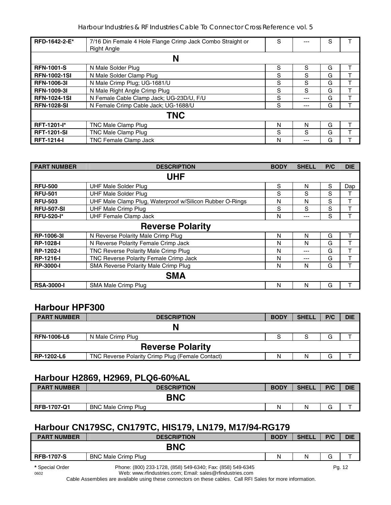| RFD-1642-2-E*       | 7/16 Din Female 4 Hole Flange Crimp Jack Combo Straight or<br><b>Right Angle</b> | S |     | S |  |
|---------------------|----------------------------------------------------------------------------------|---|-----|---|--|
|                     | N                                                                                |   |     |   |  |
| <b>RFN-1001-S</b>   | N Male Solder Plug                                                               | S | S   | G |  |
| <b>RFN-1002-1SI</b> | N Male Solder Clamp Plug                                                         | S | S   | G |  |
| <b>RFN-1006-31</b>  | N Male Crimp Plug; UG-1681/U                                                     | S | S   | G |  |
| <b>RFN-1009-31</b>  | N Male Right Angle Crimp Plug                                                    | S | S   | G |  |
| <b>RFN-1024-1SI</b> | N Female Cable Clamp Jack; UG-23D/U, F/U                                         | S | --- | G |  |
| <b>RFN-1028-SI</b>  | N Female Crimp Cable Jack; UG-1688/U                                             | S | --- | G |  |
|                     | <b>TNC</b>                                                                       |   |     |   |  |
| <b>RFT-1201-l*</b>  | TNC Male Clamp Plug                                                              | N | N   | G |  |
| <b>RFT-1201-SI</b>  | TNC Male Clamp Plug                                                              | S | S   | G |  |
| <b>RFT-1214-I</b>   | <b>TNC Female Clamp Jack</b>                                                     | N |     | G |  |

| <b>PART NUMBER</b> | <b>DESCRIPTION</b>                                       | <b>BODY</b> | <b>SHELL</b> | P/C | <b>DIE</b> |
|--------------------|----------------------------------------------------------|-------------|--------------|-----|------------|
|                    | <b>UHF</b>                                               |             |              |     |            |
| <b>RFU-500</b>     | UHF Male Solder Plug                                     | S           | N            | S   | Dap        |
| <b>RFU-501</b>     | <b>UHF Male Solder Plug</b>                              | S           | S            | S   |            |
| <b>RFU-503</b>     | UHF Male Clamp Plug, Waterproof w/Silicon Rubber O-Rings | N           | Ν            | S   |            |
| <b>RFU-507-SI</b>  | <b>UHF Male Crimp Plug</b>                               | S           | S            | S   |            |
| <b>RFU-520-I*</b>  | <b>UHF Female Clamp Jack</b>                             | N           | ---          | S   |            |
|                    | <b>Reverse Polarity</b>                                  |             |              |     |            |
| RP-1006-3I         | N Reverse Polarity Male Crimp Plug                       | N           | N            | G   | т          |
| <b>RP-1028-I</b>   | N Reverse Polarity Female Crimp Jack                     | N           | N            | G   |            |
| <b>RP-1202-I</b>   | TNC Reverse Polarity Male Crimp Plug                     | N           | ---          | G   |            |
| <b>RP-1216-I</b>   | TNC Reverse Polarity Female Crimp Jack                   | N           | ---          | G   |            |
| <b>RP-3000-I</b>   | SMA Reverse Polarity Male Crimp Plug                     | N           | N            | G   |            |
|                    | <b>SMA</b>                                               |             |              |     |            |
| <b>RSA-3000-I</b>  | SMA Male Crimp Plug                                      | N           | N            | G   |            |

#### **Harbour HPF300**

| <b>PART NUMBER</b>      | <b>DESCRIPTION</b>                               | <b>BODY</b> | <b>SHELL</b> | P/C | <b>DIE</b> |  |  |  |  |
|-------------------------|--------------------------------------------------|-------------|--------------|-----|------------|--|--|--|--|
|                         |                                                  |             |              |     |            |  |  |  |  |
| <b>RFN-1006-L6</b>      | N Male Crimp Plug                                |             |              | G   |            |  |  |  |  |
| <b>Reverse Polarity</b> |                                                  |             |              |     |            |  |  |  |  |
| RP-1202-L6              | TNC Reverse Polarity Crimp Plug (Female Contact) | Ν           | Ν            | G   |            |  |  |  |  |

#### **Harbour H2869, H2969, PLQ6-60%AL**

| <b>PART NUMBER</b> | <b>DESCRIPTION</b>         | <b>BODY</b> | <b>SHELL</b> | P/C | <b>DIE</b> |
|--------------------|----------------------------|-------------|--------------|-----|------------|
|                    | <b>BNC</b>                 |             |              |     |            |
| <b>RFB-1707-Q1</b> | <b>BNC Male Crimp Plug</b> | N           |              |     |            |

## **Harbour CN179SC, CN179TC, HIS179, LN179, M17/94-RG179**

| <b>PART NUMBER</b> | <b>DESCRIPTION</b>                                         | <b>BODY</b> | <b>SHELL</b> | P/C | <b>DIE</b> |
|--------------------|------------------------------------------------------------|-------------|--------------|-----|------------|
|                    | <b>BNC</b>                                                 |             |              |     |            |
| <b>RFB-1707-S</b>  | <b>BNC Male Crimp Plug</b>                                 | N           | N            | G   |            |
| * Special Order    | Phone: (800) 233-1728, (858) 549-6340; Fax: (858) 549-6345 |             |              |     | Pg. 12     |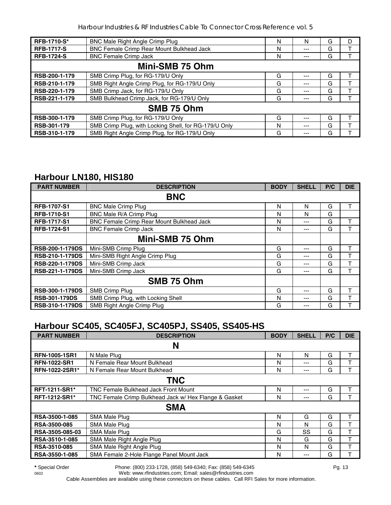| <b>RFB-1710-S*</b> | BNC Male Right Angle Crimp Plug                       | N | N   | G | D |  |
|--------------------|-------------------------------------------------------|---|-----|---|---|--|
| <b>RFB-1717-S</b>  | <b>BNC Female Crimp Rear Mount Bulkhead Jack</b>      | N | --- | G |   |  |
| <b>RFB-1724-S</b>  | <b>BNC Female Crimp Jack</b>                          | N | --- | G |   |  |
| Mini-SMB 75 Ohm    |                                                       |   |     |   |   |  |
| RSB-200-1-179      | SMB Crimp Plug, for RG-179/U Only                     | G | --- | G |   |  |
| RSB-210-1-179      | SMB Right Angle Crimp Plug, for RG-179/U Only         | G | --- | G |   |  |
| RSB-220-1-179      | SMB Crimp Jack, for RG-179/U Only                     | G | --- | G |   |  |
| RSB-221-1-179      | SMB Bulkhead Crimp Jack, for RG-179/U Only            | G | --- | G |   |  |
|                    | SMB 75 Ohm                                            |   |     |   |   |  |
| RSB-300-1-179      | SMB Crimp Plug, for RG-179/U Only                     | G | --- | G |   |  |
| RSB-301-179        | SMB Crimp Plug, with Locking Shell, for RG-179/U Only | N | --- | G |   |  |
| RSB-310-1-179      | SMB Right Angle Crimp Plug, for RG-179/U Only         | G | --- | G |   |  |

## **Harbour LN180, HIS180**

| <b>PART NUMBER</b>     | <b>DESCRIPTION</b>                               | <b>BODY</b> | <b>SHELL</b> | P/C | <b>DIE</b> |  |
|------------------------|--------------------------------------------------|-------------|--------------|-----|------------|--|
|                        | <b>BNC</b>                                       |             |              |     |            |  |
| <b>RFB-1707-S1</b>     | <b>BNC Male Crimp Plug</b>                       | N           | N            | G   |            |  |
| <b>RFB-1710-S1</b>     | BNC Male R/A Crimp Plug                          | N           | N            | G   |            |  |
| <b>RFB-1717-S1</b>     | <b>BNC Female Crimp Rear Mount Bulkhead Jack</b> | N           | ---          | G   | т          |  |
| <b>RFB-1724-S1</b>     | <b>BNC Female Crimp Jack</b>                     | N           | ---          | G   | т          |  |
|                        | Mini-SMB 75 Ohm                                  |             |              |     |            |  |
| <b>RSB-200-1-179DS</b> | Mini-SMB Crimp Plug                              | G           | ---          | G   | т          |  |
| <b>RSB-210-1-179DS</b> | Mini-SMB Right Angle Crimp Plug                  | G           | ---          | G   | т          |  |
| <b>RSB-220-1-179DS</b> | Mini-SMB Crimp Jack                              | G           | ---          | G   |            |  |
| <b>RSB-221-1-179DS</b> | Mini-SMB Crimp Jack                              | G           | ---          | G   | ᠇          |  |
|                        | SMB 75 Ohm                                       |             |              |     |            |  |
| <b>RSB-300-1-179DS</b> | SMB Crimp Plug                                   | G           | ---          | G   | т          |  |
| <b>RSB-301-179DS</b>   | SMB Crimp Plug, with Locking Shell               | N           | ---          | G   |            |  |
| <b>RSB-310-1-179DS</b> | SMB Right Angle Crimp Plug                       | G           | ---          | G   |            |  |

## **Harbour SC405, SC405FJ, SC405PJ, SS405, SS405-HS**

| <b>PART NUMBER</b>   | <b>DESCRIPTION</b>                                    | <b>BODY</b> | <b>SHELL</b> | P/C | <b>DIE</b> |  |
|----------------------|-------------------------------------------------------|-------------|--------------|-----|------------|--|
| N                    |                                                       |             |              |     |            |  |
| <b>RFN-1005-1SR1</b> | N Male Plug                                           | N           | N            | G   |            |  |
| <b>RFN-1022-SR1</b>  | N Female Rear Mount Bulkhead                          | N           | ---          | G   |            |  |
| RFN-1022-2SR1*       | N Female Rear Mount Bulkhead                          | N           | ---          | G   |            |  |
|                      | <b>TNC</b>                                            |             |              |     |            |  |
| <b>RFT-1211-SR1*</b> | <b>TNC Female Bulkhead Jack Front Mount</b>           | N           | ---          | G   |            |  |
| <b>RFT-1212-SR1*</b> | TNC Female Crimp Bulkhead Jack w/ Hex Flange & Gasket | N           | ---          | G   |            |  |
|                      | <b>SMA</b>                                            |             |              |     |            |  |
| RSA-3500-1-085       | SMA Male Plug                                         | N           | G            | G   | т          |  |
| <b>RSA-3500-085</b>  | <b>SMA Male Plug</b>                                  | N           | N            | G   | т          |  |
| RSA-3505-085-03      | <b>SMA Male Plug</b>                                  | G           | SS           | G   | т          |  |
| RSA-3510-1-085       | SMA Male Right Angle Plug                             | N           | G            | G   | т          |  |
| <b>RSA-3510-085</b>  | SMA Male Right Angle Plug                             | N           | N            | G   |            |  |
| RSA-3550-1-085       | SMA Female 2-Hole Flange Panel Mount Jack             | N           | ---          | G   |            |  |

**\*** Special Order Phone: (800) 233-1728, (858) 549-6340; Fax: (858) 549-6345 Pg. 13 Web: www.rfindustries.com; Email: sales@rfindustries.com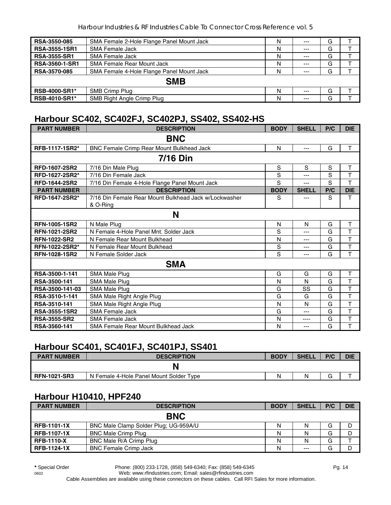| <b>RSA-3550-085</b>   | SMA Female 2-Hole Flange Panel Mount Jack | N | $---$ | G |  |
|-----------------------|-------------------------------------------|---|-------|---|--|
| <b>RSA-3555-1SR1</b>  | <b>SMA Female Jack</b>                    | N | $--$  | G |  |
| <b>RSA-3555-SR1</b>   | SMA Female Jack                           | N | $---$ | G |  |
| <b>RSA-3560-1-SR1</b> | SMA Female Rear Mount Jack                | Ν | $--$  | G |  |
| <b>RSA-3570-085</b>   | SMA Female 4-Hole Flange Panel Mount Jack | N | $---$ | G |  |
| <b>SMB</b>            |                                           |   |       |   |  |
| <b>RSB-4000-SR1*</b>  | SMB Crimp Plug                            | N | $--$  | G |  |
| <b>RSB-4010-SR1*</b>  | SMB Right Angle Crimp Plug                | N | $---$ | G |  |

#### **Harbour SC402, SC402FJ, SC402PJ, SS402, SS402-HS**

| <b>PART NUMBER</b>   | <b>DESCRIPTION</b>                                                | <b>BODY</b> | <b>SHELL</b> | P/C | <b>DIE</b>              |  |
|----------------------|-------------------------------------------------------------------|-------------|--------------|-----|-------------------------|--|
| <b>BNC</b>           |                                                                   |             |              |     |                         |  |
| RFB-1117-1SR2*       | BNC Female Crimp Rear Mount Bulkhead Jack                         | N           | ---          | G   | T                       |  |
|                      | 7/16 Din                                                          |             |              |     |                         |  |
| <b>RFD-1607-2SR2</b> | 7/16 Din Male Plug                                                | S           | S            | S   | T                       |  |
| RFD-1627-2SR2*       | 7/16 Din Female Jack                                              | S           | ---          | S   | T                       |  |
| <b>RFD-1644-2SR2</b> | 7/16 Din Female 4-Hole Flange Panel Mount Jack                    | S           | ---          | S   | T                       |  |
| <b>PART NUMBER</b>   | <b>DESCRIPTION</b>                                                | <b>BODY</b> | <b>SHELL</b> | P/C | <b>DIE</b>              |  |
| RFD-1647-2SR2*       | 7/16 Din Female Rear Mount Bulkhead Jack w/Lockwasher<br>& O-Ring | S           | ---          | S   | T                       |  |
|                      | N                                                                 |             |              |     |                         |  |
| <b>RFN-1005-1SR2</b> | N Male Plug                                                       | N           | N            | G   | T                       |  |
| RFN-1021-2SR2        | N Female 4-Hole Panel Mnt. Solder Jack                            | S           | ---          | G   | T                       |  |
| <b>RFN-1022-SR2</b>  | N Female Rear Mount Bulkhead                                      | N           | ---          | G   | T                       |  |
| RFN-1022-2SR2*       | N Female Rear Mount Bulkhead                                      | S           | ---          | G   | T                       |  |
| <b>RFN-1028-1SR2</b> | N Female Solder Jack                                              | S           | ---          | G   | T                       |  |
|                      | <b>SMA</b>                                                        |             |              |     |                         |  |
| RSA-3500-1-141       | <b>SMA Male Plug</b>                                              | G           | G            | G   | $\sf T$                 |  |
| RSA-3500-141         | <b>SMA Male Plug</b>                                              | N           | N            | G   | T                       |  |
| RSA-3500-141-03      | <b>SMA Male Plug</b>                                              | G           | SS           | G   | T                       |  |
| RSA-3510-1-141       | SMA Male Right Angle Plug                                         | G           | G            | G   | T                       |  |
| RSA-3510-141         | SMA Male Right Angle Plug                                         | N           | N            | G   | $\overline{\mathsf{T}}$ |  |
| <b>RSA-3555-1SR2</b> | <b>SMA Female Jack</b>                                            | G           | ---          | G   | T                       |  |
| <b>RSA-3555-SR2</b>  | <b>SMA Female Jack</b>                                            | N           | ----         | G   | T                       |  |
| RSA-3560-141         | SMA Female Rear Mount Bulkhead Jack                               | N           | ---          | G   | T                       |  |

#### **Harbour SC401, SC401FJ, SC401PJ, SS401**

| <b>PART NUMBER</b>  | <b>DESCRIPTION</b>                      | <b>BODY</b> | <b>SHELL</b> | P/C | <b>DIE</b> |
|---------------------|-----------------------------------------|-------------|--------------|-----|------------|
|                     |                                         |             |              |     |            |
| <b>RFN-1021-SR3</b> | N Female 4-Hole Panel Mount Solder Type | N           |              | G   |            |

#### **Harbour H10410, HPF240**

| <b>PART NUMBER</b> | <b>DESCRIPTION</b>                    | <b>BODY</b> | <b>SHELL</b> | P/C | <b>DIE</b> |  |
|--------------------|---------------------------------------|-------------|--------------|-----|------------|--|
| <b>BNC</b>         |                                       |             |              |     |            |  |
| <b>RFB-1101-1X</b> | BNC Male Clamp Solder Plug; UG-959A/U | N           | N            | G   | D          |  |
| <b>RFB-1107-1X</b> | <b>BNC Male Crimp Plug</b>            | N           | Ν            | G   | D          |  |
| <b>RFB-1110-X</b>  | BNC Male R/A Crimp Plug               | Ν           |              | G   |            |  |
| <b>RFB-1124-1X</b> | <b>BNC Female Crimp Jack</b>          | Ν           | $- - -$      | G   | D          |  |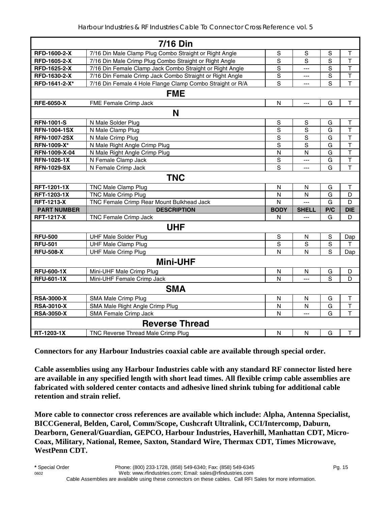|                     | <b>7/16 Din</b>                                           |                |                |                |                         |  |  |
|---------------------|-----------------------------------------------------------|----------------|----------------|----------------|-------------------------|--|--|
| RFD-1600-2-X        | 7/16 Din Male Clamp Plug Combo Straight or Right Angle    | S              | $\mathbb S$    | S              | Τ                       |  |  |
| RFD-1605-2-X        | 7/16 Din Male Crimp Plug Combo Straight or Right Angle    | $\mathbf S$    | S              | S              | $\overline{\mathsf{T}}$ |  |  |
| RFD-1625-2-X        | 7/16 Din Female Clamp Jack Combo Straight or Right Angle  | S              | ---            | S              | $\mathsf T$             |  |  |
| RFD-1630-2-X        | 7/16 Din Female Crimp Jack Combo Straight or Right Angle  | $\overline{s}$ | ---            | S              | $\overline{\mathsf{T}}$ |  |  |
| RFD-1641-2-X*       | 7/16 Din Female 4 Hole Flange Clamp Combo Straight or R/A | $\mathbf S$    | ---            | S              | T                       |  |  |
| <b>FME</b>          |                                                           |                |                |                |                         |  |  |
| <b>RFE-6050-X</b>   | FME Female Crimp Jack                                     | $\mathsf{N}$   | $---$          | G              | $\mathsf T$             |  |  |
|                     | N                                                         |                |                |                |                         |  |  |
| <b>RFN-1001-S</b>   | N Male Solder Plug                                        | $\mathbf S$    | S              | G              | $\top$                  |  |  |
| <b>RFN-1004-1SX</b> | N Male Clamp Plug                                         | $\mathbf S$    | $\mathbf S$    | G              | $\mathsf T$             |  |  |
| <b>RFN-1007-2SX</b> | N Male Crimp Plug                                         | S              | S              | G              | $\overline{\mathsf{T}}$ |  |  |
| RFN-1009-X*         | N Male Right Angle Crimp Plug                             | S              | $\mathbf S$    | G              | $\mathsf T$             |  |  |
| RFN-1009-X-04       | N Male Right Angle Crimp Plug                             | N              | N              | G              | $\mathsf T$             |  |  |
| <b>RFN-1026-1X</b>  | N Female Clamp Jack                                       | S              | ---            | G              | $\mathsf T$             |  |  |
| <b>RFN-1029-SX</b>  | N Female Crimp Jack                                       | S              | ---            | G              | T                       |  |  |
|                     | <b>TNC</b>                                                |                |                |                |                         |  |  |
| <b>RFT-1201-1X</b>  | <b>TNC Male Clamp Plug</b>                                | N              | N              | G              | $\mathsf T$             |  |  |
| RFT-1203-1X         | <b>TNC Male Crimp Plug</b>                                | N              | N              | G              | D                       |  |  |
| <b>RFT-1213-X</b>   | TNC Female Crimp Rear Mount Bulkhead Jack                 | $\mathsf{N}$   | $\overline{a}$ | G              | D                       |  |  |
| <b>PART NUMBER</b>  | <b>DESCRIPTION</b>                                        | <b>BODY</b>    | <b>SHELL</b>   | P/C            | <b>DIE</b>              |  |  |
| <b>RFT-1217-X</b>   | TNC Female Crimp Jack                                     | N              | ---            | G              | D                       |  |  |
|                     | <b>UHF</b>                                                |                |                |                |                         |  |  |
| <b>RFU-500</b>      | <b>UHF Male Solder Plug</b>                               | $\mathbb S$    | N              | $\mathbb S$    | Dap                     |  |  |
| <b>RFU-501</b>      | <b>UHF Male Clamp Plug</b>                                | $\mathbf S$    | S              | $\overline{s}$ | T                       |  |  |
| <b>RFU-508-X</b>    | <b>UHF Male Crimp Plug</b>                                | N              | N              | S              | Dap                     |  |  |
|                     | <b>Mini-UHF</b>                                           |                |                |                |                         |  |  |
| <b>RFU-600-1X</b>   | Mini-UHF Male Crimp Plug                                  | $\mathsf{N}$   | N              | G              | D                       |  |  |
| <b>RFU-601-1X</b>   | Mini-UHF Female Crimp Jack                                | N              | $\overline{a}$ | S              | D                       |  |  |
|                     | <b>SMA</b>                                                |                |                |                |                         |  |  |
| <b>RSA-3000-X</b>   | SMA Male Crimp Plug                                       | N              | N              | G              | $\mathsf T$             |  |  |
| <b>RSA-3010-X</b>   | SMA Male Right Angle Crimp Plug                           | N              | N              | G              | $\mathsf T$             |  |  |
| <b>RSA-3050-X</b>   | <b>SMA Female Crimp Jack</b>                              | N              | $\overline{a}$ | G              | $\mathsf{T}$            |  |  |
|                     | <b>Reverse Thread</b>                                     |                |                |                |                         |  |  |
| RT-1203-1X          | TNC Reverse Thread Male Crimp Plug                        | $\mathsf{N}$   | $\mathsf{N}$   | G              | $\mathsf T$             |  |  |

**Connectors for any Harbour Industries coaxial cable are available through special order.** 

**Cable assemblies using any Harbour Industries cable with any standard RF connector listed here are available in any specified length with short lead times. All flexible crimp cable assemblies are fabricated with soldered center contacts and adhesive lined shrink tubing for additional cable retention and strain relief.** 

**More cable to connector cross references are available which include: Alpha, Antenna Specialist, BICCGeneral, Belden, Carol, Comm/Scope, Cushcraft Ultralink, CCI/Intercomp, Daburn, Dearborn, General/Guardian, GEPCO, Harbour Industries, Haverhill, Manhattan CDT, Micro-Coax, Military, National, Remee, Saxton, Standard Wire, Thermax CDT, Times Microwave, WestPenn CDT.**